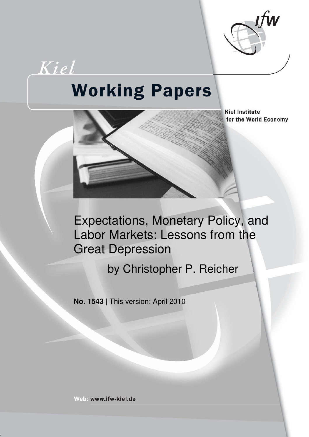

# Kiel **Working Papers**



**Kiel Institute** for the World Economy

Expectations, Monetary Policy, and Labor Markets: Lessons from the Great Depression

by Christopher P. Reicher

**No. 1543** | This version: April 2010

Web: www.ifw-kiel.de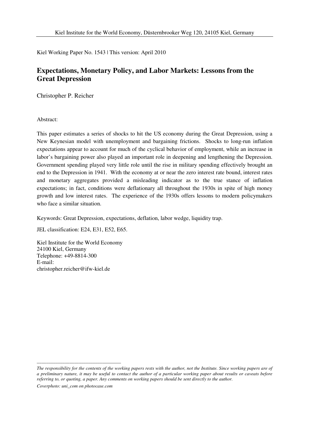Kiel Working Paper No. 1543 | This version: April 2010

## **Expectations, Monetary Policy, and Labor Markets: Lessons from the Great Depression**

Christopher P. Reicher

Abstract:

This paper estimates a series of shocks to hit the US economy during the Great Depression, using a New Keynesian model with unemployment and bargaining frictions. Shocks to long-run inflation expectations appear to account for much of the cyclical behavior of employment, while an increase in labor's bargaining power also played an important role in deepening and lengthening the Depression. Government spending played very little role until the rise in military spending effectively brought an end to the Depression in 1941. With the economy at or near the zero interest rate bound, interest rates and monetary aggregates provided a misleading indicator as to the true stance of inflation expectations; in fact, conditions were deflationary all throughout the 1930s in spite of high money growth and low interest rates. The experience of the 1930s offers lessons to modern policymakers who face a similar situation.

Keywords: Great Depression, expectations, deflation, labor wedge, liquidity trap.

JEL classification: E24, E31, E52, E65.

Kiel Institute for the World Economy 24100 Kiel, Germany Telephone: +49-8814-300 E-mail: christopher.reicher@ifw-kiel.de

*The responsibility for the contents of the working papers rests with the author, not the Institute. Since working papers are of a preliminary nature, it may be useful to contact the author of a particular working paper about results or caveats before referring to, or quoting, a paper. Any comments on working papers should be sent directly to the author.* 

*Coverphoto: uni\_com on photocase.com* 

\_\_\_\_\_\_\_\_\_\_\_\_\_\_\_\_\_\_\_\_\_\_\_\_\_\_\_\_\_\_\_\_\_\_\_\_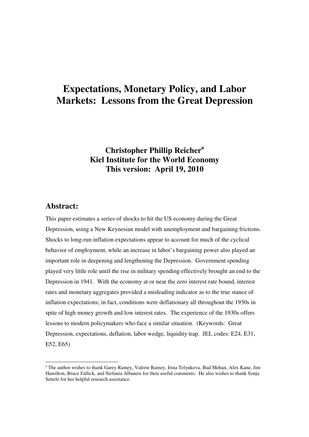# **Expectations, Monetary Policy, and Labor Markets: Lessons from the Great Depression**

# **Christopher Phillip Reicher<sup>a</sup> Kiel Institute for the World Economy This version: April 19, 2010**

### **Abstract:**

-

This paper estimates a series of shocks to hit the US economy during the Great Depression, using a New Keynesian model with unemployment and bargaining frictions. Shocks to long-run inflation expectations appear to account for much of the cyclical behavior of employment, while an increase in labor's bargaining power also played an important role in deepening and lengthening the Depression. Government spending played very little role until the rise in military spending effectively brought an end to the Depression in 1941. With the economy at or near the zero interest rate bound, interest rates and monetary aggregates provided a misleading indicator as to the true stance of inflation expectations; in fact, conditions were deflationary all throughout the 1930s in spite of high money growth and low interest rates. The experience of the 1930s offers lessons to modern policymakers who face a similar situation. (Keywords: Great Depression, expectations, deflation, labor wedge, liquidity trap. JEL codes: E24, E31, E52, E65)

<sup>&</sup>lt;sup>a</sup> The author wishes to thank Garey Ramey, Valerie Ramey, Irina Telyukova, Bud Mehan, Alex Kane, Jim Hamilton, Bruce Fallick, and Stefania Albanesi for their useful comments. He also wishes to thank Sonja Settele for her helpful research assistance.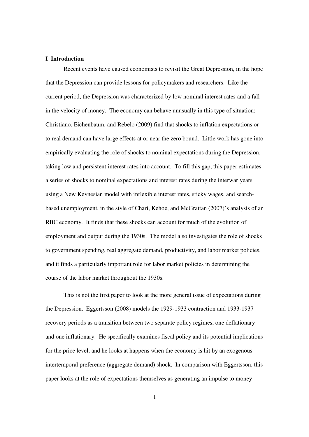#### **I Introduction**

 Recent events have caused economists to revisit the Great Depression, in the hope that the Depression can provide lessons for policymakers and researchers. Like the current period, the Depression was characterized by low nominal interest rates and a fall in the velocity of money. The economy can behave unusually in this type of situation; Christiano, Eichenbaum, and Rebelo (2009) find that shocks to inflation expectations or to real demand can have large effects at or near the zero bound. Little work has gone into empirically evaluating the role of shocks to nominal expectations during the Depression, taking low and persistent interest rates into account. To fill this gap, this paper estimates a series of shocks to nominal expectations and interest rates during the interwar years using a New Keynesian model with inflexible interest rates, sticky wages, and searchbased unemployment, in the style of Chari, Kehoe, and McGrattan (2007)'s analysis of an RBC economy. It finds that these shocks can account for much of the evolution of employment and output during the 1930s. The model also investigates the role of shocks to government spending, real aggregate demand, productivity, and labor market policies, and it finds a particularly important role for labor market policies in determining the course of the labor market throughout the 1930s.

This is not the first paper to look at the more general issue of expectations during the Depression. Eggertsson (2008) models the 1929-1933 contraction and 1933-1937 recovery periods as a transition between two separate policy regimes, one deflationary and one inflationary. He specifically examines fiscal policy and its potential implications for the price level, and he looks at happens when the economy is hit by an exogenous intertemporal preference (aggregate demand) shock. In comparison with Eggertsson, this paper looks at the role of expectations themselves as generating an impulse to money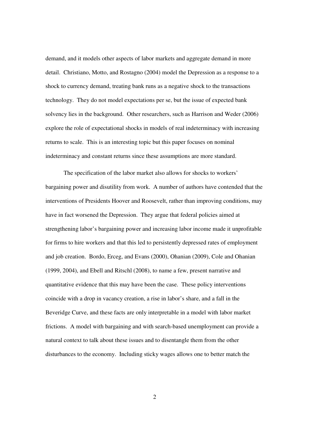demand, and it models other aspects of labor markets and aggregate demand in more detail. Christiano, Motto, and Rostagno (2004) model the Depression as a response to a shock to currency demand, treating bank runs as a negative shock to the transactions technology. They do not model expectations per se, but the issue of expected bank solvency lies in the background. Other researchers, such as Harrison and Weder (2006) explore the role of expectational shocks in models of real indeterminacy with increasing returns to scale. This is an interesting topic but this paper focuses on nominal indeterminacy and constant returns since these assumptions are more standard.

The specification of the labor market also allows for shocks to workers' bargaining power and disutility from work. A number of authors have contended that the interventions of Presidents Hoover and Roosevelt, rather than improving conditions, may have in fact worsened the Depression. They argue that federal policies aimed at strengthening labor's bargaining power and increasing labor income made it unprofitable for firms to hire workers and that this led to persistently depressed rates of employment and job creation. Bordo, Erceg, and Evans (2000), Ohanian (2009), Cole and Ohanian (1999, 2004), and Ebell and Ritschl (2008), to name a few, present narrative and quantitative evidence that this may have been the case. These policy interventions coincide with a drop in vacancy creation, a rise in labor's share, and a fall in the Beveridge Curve, and these facts are only interpretable in a model with labor market frictions. A model with bargaining and with search-based unemployment can provide a natural context to talk about these issues and to disentangle them from the other disturbances to the economy. Including sticky wages allows one to better match the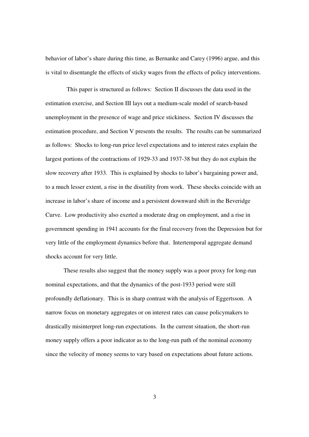behavior of labor's share during this time, as Bernanke and Carey (1996) argue, and this is vital to disentangle the effects of sticky wages from the effects of policy interventions.

 This paper is structured as follows: Section II discusses the data used in the estimation exercise, and Section III lays out a medium-scale model of search-based unemployment in the presence of wage and price stickiness. Section IV discusses the estimation procedure, and Section V presents the results. The results can be summarized as follows: Shocks to long-run price level expectations and to interest rates explain the largest portions of the contractions of 1929-33 and 1937-38 but they do not explain the slow recovery after 1933. This is explained by shocks to labor's bargaining power and, to a much lesser extent, a rise in the disutility from work. These shocks coincide with an increase in labor's share of income and a persistent downward shift in the Beveridge Curve. Low productivity also exerted a moderate drag on employment, and a rise in government spending in 1941 accounts for the final recovery from the Depression but for very little of the employment dynamics before that. Intertemporal aggregate demand shocks account for very little.

These results also suggest that the money supply was a poor proxy for long-run nominal expectations, and that the dynamics of the post-1933 period were still profoundly deflationary. This is in sharp contrast with the analysis of Eggertsson. A narrow focus on monetary aggregates or on interest rates can cause policymakers to drastically misinterpret long-run expectations. In the current situation, the short-run money supply offers a poor indicator as to the long-run path of the nominal economy since the velocity of money seems to vary based on expectations about future actions.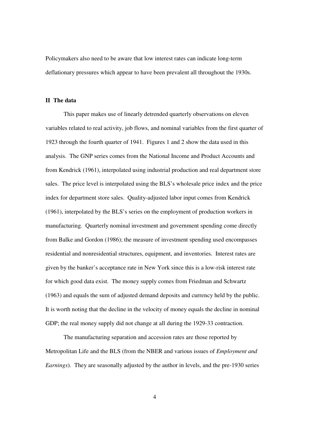Policymakers also need to be aware that low interest rates can indicate long-term deflationary pressures which appear to have been prevalent all throughout the 1930s.

#### **II The data**

 This paper makes use of linearly detrended quarterly observations on eleven variables related to real activity, job flows, and nominal variables from the first quarter of 1923 through the fourth quarter of 1941. Figures 1 and 2 show the data used in this analysis. The GNP series comes from the National Income and Product Accounts and from Kendrick (1961), interpolated using industrial production and real department store sales. The price level is interpolated using the BLS's wholesale price index and the price index for department store sales. Quality-adjusted labor input comes from Kendrick (1961), interpolated by the BLS's series on the employment of production workers in manufacturing. Quarterly nominal investment and government spending come directly from Balke and Gordon (1986); the measure of investment spending used encompasses residential and nonresidential structures, equipment, and inventories. Interest rates are given by the banker's acceptance rate in New York since this is a low-risk interest rate for which good data exist. The money supply comes from Friedman and Schwartz (1963) and equals the sum of adjusted demand deposits and currency held by the public. It is worth noting that the decline in the velocity of money equals the decline in nominal GDP; the real money supply did not change at all during the 1929-33 contraction.

The manufacturing separation and accession rates are those reported by Metropolitan Life and the BLS (from the NBER and various issues of *Employment and Earnings*). They are seasonally adjusted by the author in levels, and the pre-1930 series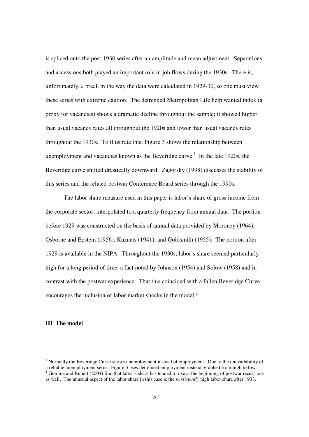is spliced onto the post-1930 series after an amplitude and mean adjustment. Separations and accessions both played an important role in job flows during the 1930s. There is, unfortunately, a break in the way the data were calculated in 1929-30, so one must view these series with extreme caution. The detrended Metropolitan Life help wanted index (a proxy for vacancies) shows a dramatic decline throughout the sample; it showed higher than usual vacancy rates all throughout the 1920s and lower than usual vacancy rates throughout the 1930s. To illustrate this, Figure 3 shows the relationship between unemployment and vacancies known as the Beveridge curve.<sup>1</sup> In the late 1920s, the Beveridge curve shifted drastically downward. Zagorsky (1998) discusses the stability of this series and the related postwar Conference Board series through the 1990s.

 The labor share measure used in this paper is labor's share of gross income from the corporate sector, interpolated to a quarterly frequency from annual data. The portion before 1929 was constructed on the basis of annual data provided by Moroney (1964), Osborne and Epstein (1956), Kuznets (1941), and Goldsmith (1955). The portion after 1929 is available in the NIPA. Throughout the 1930s, labor's share seemed particularly high for a long period of time, a fact noted by Johnson (1954) and Solow (1958) and in contrast with the postwar experience. That this coincided with a fallen Beveridge Curve encourages the inclusion of labor market shocks in the model.<sup>2</sup>

#### **III The model**

 1 Normally the Beveridge Curve shows unemployment instead of employment. Due to the unavailability of a reliable unemployment series, Figure 3 uses detrended employment instead, graphed from high to low.  $2^{2}$  Gomme and Rupert (2004) find that labor's share has tended to rise at the beginning of postwar recessions as well. The unusual aspect of the labor share in this case is the *persistently* high labor share after 1933.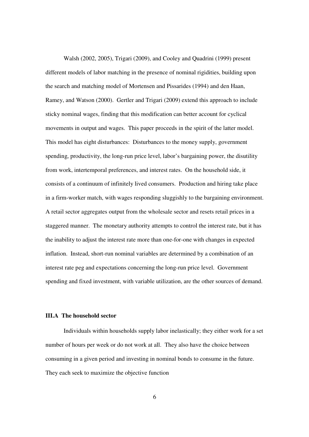Walsh (2002, 2005), Trigari (2009), and Cooley and Quadrini (1999) present different models of labor matching in the presence of nominal rigidities, building upon the search and matching model of Mortensen and Pissarides (1994) and den Haan, Ramey, and Watson (2000). Gertler and Trigari (2009) extend this approach to include sticky nominal wages, finding that this modification can better account for cyclical movements in output and wages. This paper proceeds in the spirit of the latter model. This model has eight disturbances: Disturbances to the money supply, government spending, productivity, the long-run price level, labor's bargaining power, the disutility from work, intertemporal preferences, and interest rates. On the household side, it consists of a continuum of infinitely lived consumers. Production and hiring take place in a firm-worker match, with wages responding sluggishly to the bargaining environment. A retail sector aggregates output from the wholesale sector and resets retail prices in a staggered manner. The monetary authority attempts to control the interest rate, but it has the inability to adjust the interest rate more than one-for-one with changes in expected inflation. Instead, short-run nominal variables are determined by a combination of an interest rate peg and expectations concerning the long-run price level. Government spending and fixed investment, with variable utilization, are the other sources of demand.

#### **III.A The household sector**

 Individuals within households supply labor inelastically; they either work for a set number of hours per week or do not work at all. They also have the choice between consuming in a given period and investing in nominal bonds to consume in the future. They each seek to maximize the objective function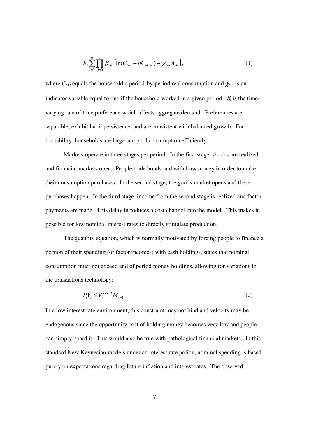$$
E_{t} \sum_{i=0}^{\infty} \prod_{j=0}^{i} \beta_{t+j} \left[ \ln(C_{t+i} - hC_{t+i-1}) - \chi_{t+i} A_{t+i} \right], \tag{1}
$$

where  $C_{t+i}$  equals the household's period-by-period real consumption and  $\chi_{t+i}$  is an indicator variable equal to one if the household worked in a given period.  $\beta_t$  is the timevarying rate of time preference which affects aggregate demand. Preferences are separable, exhibit habit persistence, and are consistent with balanced growth. For tractability, households are large and pool consumption efficiently.

 Markets operate in three stages per period. In the first stage, shocks are realized and financial markets open. People trade bonds and withdraw money in order to make their consumption purchases. In the second stage, the goods market opens and these purchases happen. In the third stage, income from the second stage is realized and factor payments are made. This delay introduces a cost channel into the model. This makes it possible for low nominal interest rates to directly stimulate production.

 The quantity equation, which is normally motivated by forcing people to finance a portion of their spending (or factor incomes) with cash holdings, states that nominal consumption must not exceed end of period money holdings, allowing for variations in the transactions technology:

$$
P_t Y_t \le V_t^{TECH} M_{t+1}.
$$
\n<sup>(2)</sup>

In a low interest rate environment, this constraint may not bind and velocity may be endogenous since the opportunity cost of holding money becomes very low and people can simply hoard it. This would also be true with pathological financial markets. In this standard New Keynesian models under an interest rate policy, nominal spending is based purely on expectations regarding future inflation and interest rates. The observed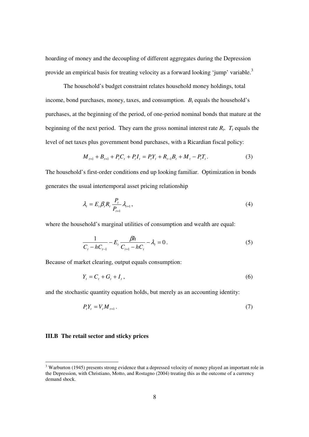hoarding of money and the decoupling of different aggregates during the Depression provide an empirical basis for treating velocity as a forward looking 'jump' variable.<sup>3</sup>

 The household's budget constraint relates household money holdings, total income, bond purchases, money, taxes, and consumption.  $B_t$  equals the household's purchases, at the beginning of the period, of one-period nominal bonds that mature at the beginning of the next period. They earn the gross nominal interest rate  $R_t$ .  $T_t$  equals the level of net taxes plus government bond purchases, with a Ricardian fiscal policy:

$$
M_{t+1} + B_{t+1} + P_t C_t + P_t I_t = P_t Y_t + R_{t-1} B_t + M_t - P_t T_t.
$$
\n(3)

The household's first-order conditions end up looking familiar. Optimization in bonds generates the usual intertemporal asset pricing relationship

$$
\lambda_t = E_t \beta_t R_t \frac{P_t}{P_{t+1}} \lambda_{t+1},\tag{4}
$$

where the household's marginal utilities of consumption and wealth are equal:

$$
\frac{1}{C_t - hC_{t-1}} - E_t \frac{\beta h}{C_{t+1} - hC_t} - \lambda_t = 0.
$$
 (5)

Because of market clearing, output equals consumption:

$$
Y_t = C_t + G_t + I_t, \qquad (6)
$$

and the stochastic quantity equation holds, but merely as an accounting identity:

$$
P_t Y_t = V_t M_{t+1} \,. \tag{7}
$$

#### **III.B The retail sector and sticky prices**

-

<sup>&</sup>lt;sup>3</sup> Warburton (1945) presents strong evidence that a depressed velocity of money played an important role in the Depression, with Christiano, Motto, and Rostagno (2004) treating this as the outcome of a currency demand shock.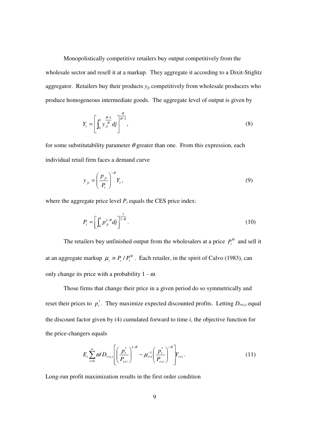Monopolistically competitive retailers buy output competitively from the wholesale sector and resell it at a markup. They aggregate it according to a Dixit-Stiglitz aggregator. Retailers buy their products *yjt* competitively from wholesale producers who produce homogeneous intermediate goods. The aggregate level of output is given by

$$
Y_t = \left[ \int_0^1 y_{jt}^{\frac{\theta - 1}{\theta}} df \right]_0^{\frac{\theta}{\theta - 1}}, \tag{8}
$$

for some substitutability parameter  $\theta$  greater than one. From this expression, each individual retail firm faces a demand curve

$$
y_{jt} = \left(\frac{p_{jt}}{P_t}\right)^{-\theta} Y_t,
$$
\n(9)

where the aggregate price level  $P_t$  equals the CES price index:

$$
P_{t} = \left[ \int_{0}^{1} p_{jt}^{1-\theta} df \right]^{\frac{1}{1-\theta}}.
$$
 (10)

The retailers buy unfinished output from the wholesalers at a price  $P_t^W$  and sell it at an aggregate markup  $\mu_t = P_t / P_t^W$ . Each retailer, in the spirit of Calvo (1983), can only change its price with a probability  $1 - \omega$ .

 Those firms that change their price in a given period do so symmetrically and reset their prices to  $p_t^*$ . They maximize expected discounted profits. Letting  $D_{t+i,t}$  equal the discount factor given by (4) cumulated forward to time *i*, the objective function for the price-changers equals

$$
E_{t} \sum_{i=0}^{\infty} \omega^{i} D_{t+i,t} \left[ \left( \frac{p_{t}^{*}}{P_{t+i}} \right)^{1-\theta} - \mu_{t+i}^{-1} \left( \frac{p_{t}^{*}}{P_{t+i}} \right)^{-\theta} \right] Y_{t+i}.
$$
 (11)

Long-run profit maximization results in the first order condition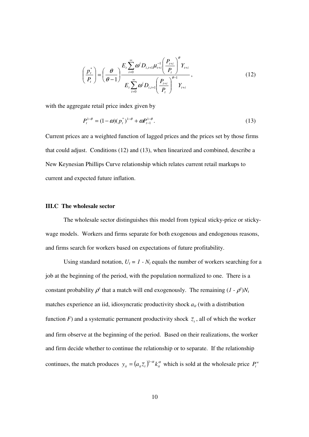$$
\left(\frac{p_{t}^{*}}{P_{t}}\right) = \left(\frac{\theta}{\theta-1}\right) \frac{E_{t} \sum_{i=0}^{\infty} \omega^{i} D_{i,t+1} \mu_{t+i}^{-1} \left(\frac{P_{t+i}}{P_{t}}\right)^{\theta} Y_{t+i}}{E_{t} \sum_{i=0}^{\infty} \omega^{i} D_{i,t+1} \left(\frac{P_{t+i}}{P_{t}}\right)^{\theta-1} Y_{t+i}},
$$
\n(12)

with the aggregate retail price index given by

$$
P_t^{1-\theta} = (1-\omega)(p_t^*)^{1-\theta} + \omega P_{t-1}^{1-\theta}.
$$
\n(13)

Current prices are a weighted function of lagged prices and the prices set by those firms that could adjust. Conditions (12) and (13), when linearized and combined, describe a New Keynesian Phillips Curve relationship which relates current retail markups to current and expected future inflation.

#### **III.C The wholesale sector**

 The wholesale sector distinguishes this model from typical sticky-price or stickywage models. Workers and firms separate for both exogenous and endogenous reasons, and firms search for workers based on expectations of future profitability.

Using standard notation,  $U_t = 1 - N_t$  equals the number of workers searching for a job at the beginning of the period, with the population normalized to one. There is a constant probability  $\rho^x$  that a match will end exogenously. The remaining  $(I - \rho^x)N_t$ matches experience an iid, idiosyncratic productivity shock *ait* (with a distribution function *F*) and a systematic permanent productivity shock  $\overline{z}_t$ , all of which the worker and firm observe at the beginning of the period. Based on their realizations, the worker and firm decide whether to continue the relationship or to separate. If the relationship continues, the match produces  $y_{it} = (a_{it}\overline{z}_{t})^{1-\alpha}k_{it}^{\alpha}$  which is sold at the wholesale price  $P_{t}^{w}$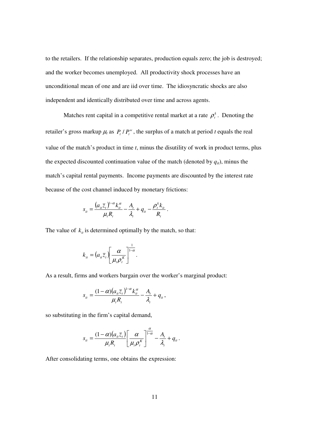to the retailers. If the relationship separates, production equals zero; the job is destroyed; and the worker becomes unemployed. All productivity shock processes have an unconditional mean of one and are iid over time. The idiosyncratic shocks are also independent and identically distributed over time and across agents.

Matches rent capital in a competitive rental market at a rate  $\rho_t^k$ . Denoting the retailer's gross markup  $\mu_t$  as  $P_t/P_t^w$ , the surplus of a match at period *t* equals the real value of the match's product in time *t*, minus the disutility of work in product terms, plus the expected discounted continuation value of the match (denoted by  $q_i$ ), minus the match's capital rental payments. Income payments are discounted by the interest rate because of the cost channel induced by monetary frictions:

$$
s_{it} = \frac{(a_{it}\overline{z}_t)^{1-\alpha}k_{it}^{\alpha}}{\mu_t R_t} - \frac{A_t}{\lambda_t} + q_{it} - \frac{\rho_t^k k_{it}}{R_t}.
$$

The value of  $k_{it}$  is determined optimally by the match, so that:

$$
k_{it} = (a_{it}\overline{z}_t) \left[\frac{\alpha}{\mu_t \rho_t^{\kappa}}\right]^{\frac{1}{1-\alpha}}.
$$

As a result, firms and workers bargain over the worker's marginal product:

$$
s_{ii} = \frac{(1-\alpha)(a_{ii}\overline{z}_t)^{1-\alpha}k_{ii}^{\alpha}}{\mu_t R_t} - \frac{A_t}{\lambda_t} + q_{ii},
$$

so substituting in the firm's capital demand,

$$
s_{ii} = \frac{(1-\alpha)(a_{ii}\overline{z}_t)}{\mu_t R_t} \left[\frac{\alpha}{\mu_t \rho_t^k}\right]_0^{\frac{\alpha}{1-\alpha}} - \frac{A_t}{\lambda_t} + q_{ii}.
$$

After consolidating terms, one obtains the expression: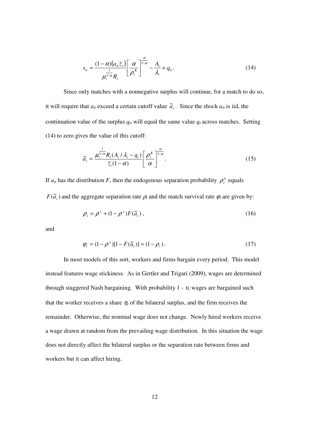$$
s_{it} = \frac{(1-\alpha)(a_{it}\bar{z}_t)}{\mu_t^{\frac{1}{1-\alpha}}R_t} \left[\frac{\alpha}{\rho_t^{\kappa}}\right]^{\frac{\alpha}{1-\alpha}} - \frac{A_t}{\lambda_t} + q_{it}.
$$
\n(14)

 Since only matches with a nonnegative surplus will continue, for a match to do so, it will require that  $a_{it}$  exceed a certain cutoff value  $\tilde{a}_t$ . Since the shock  $a_{it}$  is iid, the continuation value of the surplus  $q_i$  will equal the same value  $q_t$  across matches. Setting (14) to zero gives the value of this cutoff:

$$
\widetilde{a}_t = \frac{\mu_t^{\frac{1}{1-\alpha}} R_t (A_t / \lambda_t - q_t)}{\overline{z}_t (1-\alpha)} \left[ \frac{\rho_t^{\kappa}}{\alpha} \right]^{\frac{\alpha}{1-\alpha}}.
$$
\n(15)

If  $a_{it}$  has the distribution *F*, then the endogenous separation probability  $\rho_t^n$  equals  $F(\tilde{a}_t)$  and the aggregate separation rate  $\rho_t$  and the match survival rate  $\varphi_t$  are given by:

$$
\rho_t = \rho^x + (1 - \rho^x) F(\tilde{a}_t), \qquad (16)
$$

and

$$
\varphi_t = (1 - \rho^x)[1 - F(\tilde{a}_t)] = (1 - \rho_t). \tag{17}
$$

 In most models of this sort, workers and firms bargain every period. This model instead features wage stickiness. As in Gertler and Trigari (2009), wages are determined through staggered Nash bargaining. With probability  $1 - v$ , wages are bargained such that the worker receives a share  $\eta_t$  of the bilateral surplus, and the firm receives the remainder. Otherwise, the nominal wage does not change. Newly hired workers receive a wage drawn at random from the prevailing wage distribution. In this situation the wage does not directly affect the bilateral surplus or the separation rate between firms and workers but it can affect hiring.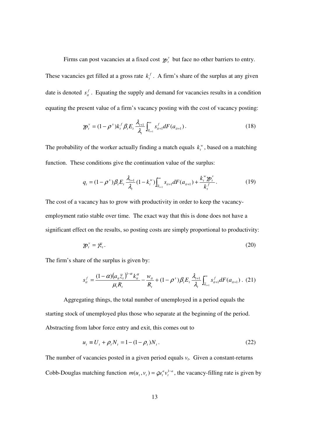Firms can post vacancies at a fixed cost  $\boldsymbol{p}^{\nu}$  but face no other barriers to entry. These vacancies get filled at a gross rate  $k_t^f$ . A firm's share of the surplus at any given date is denoted  $s_i^f$ . Equating the supply and demand for vacancies results in a condition equating the present value of a firm's vacancy posting with the cost of vacancy posting:

$$
\gamma p_i^{\nu} = (1 - \rho^{\nu}) k_i^f \beta_i E_i \frac{\lambda_{i+1}}{\lambda_i} \int_{\tilde{a}_{i+1}}^{\infty} s_{i+1}^f dF(a_{i+1}). \tag{18}
$$

The probability of the worker actually finding a match equals  $k_t^{\nu}$ , based on a matching function. These conditions give the continuation value of the surplus:

$$
q_{t} = (1 - \rho^{x})\beta_{t}E_{t} \frac{\lambda_{t+1}}{\lambda_{t}} (1 - k_{t}^{w}) \int_{\tilde{a}_{t+1}}^{\infty} s_{it+1} dF(a_{it+1}) + \frac{k_{t}^{w} \mathcal{P}_{t}^{v}}{k_{t}^{f}}.
$$
 (19)

The cost of a vacancy has to grow with productivity in order to keep the vacancyemployment ratio stable over time. The exact way that this is done does not have a significant effect on the results, so posting costs are simply proportional to productivity:

$$
\mathcal{W}_t^{\nu} = \bar{\mathcal{R}_t}.
$$
 (20)

The firm's share of the surplus is given by:

$$
s_{it}^f = \frac{(1-\alpha)(a_{it}\bar{z}_t)^{1-\alpha}k_{it}^{\alpha}}{\mu_t R_t} - \frac{w_{it}}{R_t} + (1-\rho^x)\beta_t E_t \frac{\lambda_{t+1}}{\lambda_t} \int_{\bar{\alpha}_{t+1}}^{\infty} s_{it+1}^f dF(a_{it+1}). \tag{21}
$$

 Aggregating things, the total number of unemployed in a period equals the starting stock of unemployed plus those who separate at the beginning of the period. Abstracting from labor force entry and exit, this comes out to

$$
u_t \equiv U_t + \rho_t N_t = 1 - (1 - \rho_t) N_t. \tag{22}
$$

The number of vacancies posted in a given period equals *v<sup>t</sup>* . Given a constant-returns Cobb-Douglas matching function  $m(u_t, v_t) = \mathcal{J} u_t^{a} v_t^{1-a}$  $m(u_t, v_t) = \mathcal{G} u_t^a v_t^{1-a}$ , the vacancy-filling rate is given by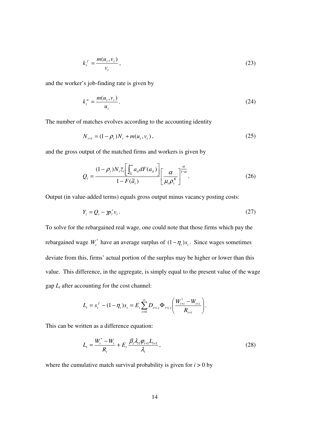$$
k_t^f = \frac{m(u_t, v_t)}{v_t},\tag{23}
$$

and the worker's job-finding rate is given by

$$
k_t^w = \frac{m(u_t, v_t)}{u_t}.
$$
\n
$$
(24)
$$

The number of matches evolves according to the accounting identity

$$
N_{t+1} = (1 - \rho_t)N_t + m(u_t, v_t),
$$
\n(25)

and the gross output of the matched firms and workers is given by

$$
Q_{t} = \frac{(1 - \rho_{t})N_{t}\bar{z}_{t}\left[\int_{\tilde{a}_{t}}^{\infty}a_{it}dF(a_{it})\right]}{1 - F(\tilde{a}_{t})}\left[\frac{\alpha}{\mu_{t}\rho_{t}^{K}}\right]^{\frac{\alpha}{1 - \alpha}}.
$$
\n(26)

Output (in value-added terms) equals gross output minus vacancy posting costs:

$$
Y_t = Q_t - \gamma p_t^{\nu} v_t. \tag{27}
$$

To solve for the rebargained real wage, one could note that those firms which pay the rebargained wage  $W_t^*$  have an average surplus of  $(1 - \eta_t)s_t$ . Since wages sometimes deviate from this, firms' actual portion of the surplus may be higher or lower than this value. This difference, in the aggregate, is simply equal to the present value of the wage gap *Lt* after accounting for the cost channel:

$$
L_{t} = s_{t}^{f} - (1 - \eta_{t})s_{t} = E_{t} \sum_{i=0}^{\infty} D_{t+i,t} \Phi_{t+i,t} \left( \frac{W_{t+i}^{*} - W_{t+i}}{R_{t+i}} \right).
$$

This can be written as a difference equation:

$$
L_{t} = \frac{W_{t}^{*} - W_{t}}{R_{t}} + E_{t} \frac{\beta_{t} \lambda_{t1} \varphi_{t+1} L_{t+1}}{\lambda_{t}},
$$
\n(28)

where the cumulative match survival probability is given for  $i > 0$  by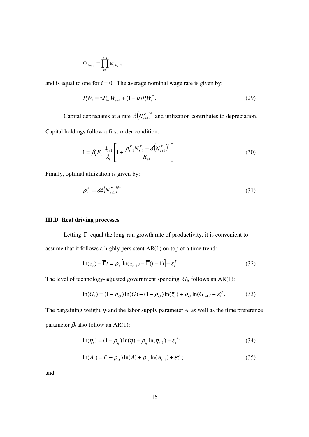$$
\Phi_{t+i,t} = \prod_{j=1}^{t+i} \varphi_{t+j} ,
$$

and is equal to one for  $i = 0$ . The average nominal wage rate is given by:

$$
P_t W_t = \nu P_{t-1} W_{t-1} + (1 - \nu) P_t W_t^*.
$$
\n(29)

Capital depreciates at a rate  $\delta ( N_{t+1}^K )^{\phi}$  and utilization contributes to depreciation. Capital holdings follow a first-order condition:

$$
1 = \beta_{t} E_{t} \frac{\lambda_{t+1}}{\lambda_{t}} \left[ 1 + \frac{\rho_{t+1}^{K} N_{t+1}^{K} - \delta \left(N_{t+1}^{K}\right)^{\phi}}{R_{t+1}} \right].
$$
 (30)

Finally, optimal utilization is given by:

$$
\rho_t^K = \delta \phi \big(N_{t+1}^K\big)^{\phi-1}.\tag{31}
$$

#### **III.D Real driving processes**

Letting  $\overline{\Gamma}$  equal the long-run growth rate of productivity, it is convenient to assume that it follows a highly persistent AR(1) on top of a time trend:

$$
\ln(\overline{z}_t) - \overline{\Gamma}t = \rho_{\overline{z}}\left[\ln(\overline{z}_{t-1}) - \overline{\Gamma}(t-1)\right] + \varepsilon_t^{\overline{z}}.
$$
\n(32)

The level of technology-adjusted government spending,  $G_t$ , follows an AR(1):

$$
\ln(G_t) = (1 - \rho_G) \ln(G) + (1 - \rho_G) \ln(\bar{z}_t) + \rho_G \ln(G_{t-1}) + \varepsilon_t^G.
$$
 (33)

The bargaining weight  $\eta_t$  and the labor supply parameter  $A_t$  as well as the time preference parameter  $\beta_t$  also follow an AR(1):

$$
\ln(\eta_t) = (1 - \rho_\eta) \ln(\eta) + \rho_\eta \ln(\eta_{t-1}) + \varepsilon_t^\eta; \tag{34}
$$

$$
\ln(A_t) = (1 - \rho_A) \ln(A) + \rho_A \ln(A_{t-1}) + \varepsilon_t^A; \tag{35}
$$

and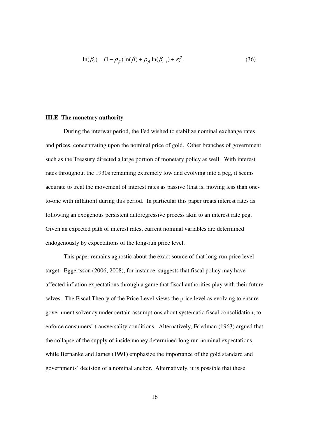$$
\ln(\beta_t) = (1 - \rho_\beta) \ln(\beta) + \rho_\beta \ln(\beta_{t-1}) + \varepsilon_t^\beta.
$$
\n(36)

#### **III.E The monetary authority**

 During the interwar period, the Fed wished to stabilize nominal exchange rates and prices, concentrating upon the nominal price of gold. Other branches of government such as the Treasury directed a large portion of monetary policy as well. With interest rates throughout the 1930s remaining extremely low and evolving into a peg, it seems accurate to treat the movement of interest rates as passive (that is, moving less than oneto-one with inflation) during this period. In particular this paper treats interest rates as following an exogenous persistent autoregressive process akin to an interest rate peg. Given an expected path of interest rates, current nominal variables are determined endogenously by expectations of the long-run price level.

This paper remains agnostic about the exact source of that long-run price level target. Eggertsson (2006, 2008), for instance, suggests that fiscal policy may have affected inflation expectations through a game that fiscal authorities play with their future selves. The Fiscal Theory of the Price Level views the price level as evolving to ensure government solvency under certain assumptions about systematic fiscal consolidation, to enforce consumers' transversality conditions. Alternatively, Friedman (1963) argued that the collapse of the supply of inside money determined long run nominal expectations, while Bernanke and James (1991) emphasize the importance of the gold standard and governments' decision of a nominal anchor. Alternatively, it is possible that these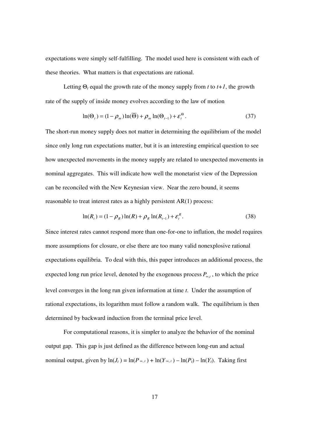expectations were simply self-fulfilling. The model used here is consistent with each of these theories. What matters is that expectations are rational.

Letting  $\Theta_t$  equal the growth rate of the money supply from *t* to *t*+*1*, the growth rate of the supply of inside money evolves according to the law of motion

$$
\ln(\Theta_t) = (1 - \rho_m) \ln(\overline{\Theta}) + \rho_m \ln(\Theta_{t-1}) + \varepsilon_t^{\Theta}.
$$
 (37)

The short-run money supply does not matter in determining the equilibrium of the model since only long run expectations matter, but it is an interesting empirical question to see how unexpected movements in the money supply are related to unexpected movements in nominal aggregates. This will indicate how well the monetarist view of the Depression can be reconciled with the New Keynesian view. Near the zero bound, it seems reasonable to treat interest rates as a highly persistent AR(1) process:

$$
\ln(R_t) = (1 - \rho_R) \ln(R) + \rho_R \ln(R_{t-1}) + \varepsilon_t^R. \tag{38}
$$

Since interest rates cannot respond more than one-for-one to inflation, the model requires more assumptions for closure, or else there are too many valid nonexplosive rational expectations equilibria. To deal with this, this paper introduces an additional process, the expected long run price level, denoted by the exogenous process *P*<sup>∞</sup>,*<sup>t</sup>* , to which the price level converges in the long run given information at time *t*. Under the assumption of rational expectations, its logarithm must follow a random walk. The equilibrium is then determined by backward induction from the terminal price level.

 For computational reasons, it is simpler to analyze the behavior of the nominal output gap. This gap is just defined as the difference between long-run and actual nominal output, given by  $ln(J_t) = ln(P_{\infty, t}) + ln(Y_{\infty, t}) - ln(P_t) - ln(Y_t)$ . Taking first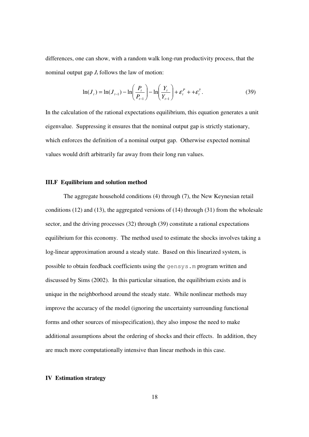differences, one can show, with a random walk long-run productivity process, that the nominal output gap  $J_t$  follows the law of motion:

$$
\ln(J_t) = \ln(J_{t-1}) - \ln\left(\frac{P_t}{P_{t-1}}\right) - \ln\left(\frac{Y_t}{Y_{t-1}}\right) + \varepsilon_t^P + \varepsilon_t^{\bar{z}}.
$$
 (39)

In the calculation of the rational expectations equilibrium, this equation generates a unit eigenvalue. Suppressing it ensures that the nominal output gap is strictly stationary, which enforces the definition of a nominal output gap. Otherwise expected nominal values would drift arbitrarily far away from their long run values.

#### **III.F Equilibrium and solution method**

 The aggregate household conditions (4) through (7), the New Keynesian retail conditions (12) and (13), the aggregated versions of (14) through (31) from the wholesale sector, and the driving processes (32) through (39) constitute a rational expectations equilibrium for this economy. The method used to estimate the shocks involves taking a log-linear approximation around a steady state. Based on this linearized system, is possible to obtain feedback coefficients using the gensys.m program written and discussed by Sims (2002). In this particular situation, the equilibrium exists and is unique in the neighborhood around the steady state. While nonlinear methods may improve the accuracy of the model (ignoring the uncertainty surrounding functional forms and other sources of misspecification), they also impose the need to make additional assumptions about the ordering of shocks and their effects. In addition, they are much more computationally intensive than linear methods in this case.

#### **IV Estimation strategy**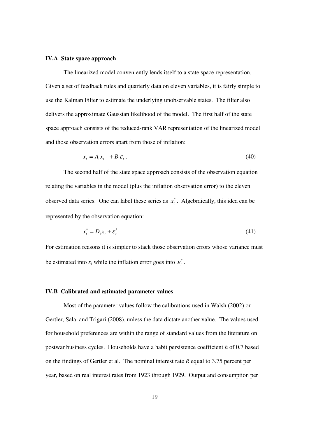#### **IV.A State space approach**

 The linearized model conveniently lends itself to a state space representation. Given a set of feedback rules and quarterly data on eleven variables, it is fairly simple to use the Kalman Filter to estimate the underlying unobservable states. The filter also delivers the approximate Gaussian likelihood of the model. The first half of the state space approach consists of the reduced-rank VAR representation of the linearized model and those observation errors apart from those of inflation:

$$
x_t = A_1 x_{t-1} + B_1 \varepsilon_t, \tag{40}
$$

The second half of the state space approach consists of the observation equation relating the variables in the model (plus the inflation observation error) to the eleven observed data series. One can label these series as  $x_t^*$ . Algebraically, this idea can be represented by the observation equation:

$$
x_t^* = D_1 x_t + \varepsilon_t^*.
$$
\n<sup>(41)</sup>

For estimation reasons it is simpler to stack those observation errors whose variance must be estimated into  $x_t$  while the inflation error goes into  $\varepsilon_t^*$ .

#### **IV.B Calibrated and estimated parameter values**

 Most of the parameter values follow the calibrations used in Walsh (2002) or Gertler, Sala, and Trigari (2008), unless the data dictate another value. The values used for household preferences are within the range of standard values from the literature on postwar business cycles. Households have a habit persistence coefficient *h* of 0.7 based on the findings of Gertler et al. The nominal interest rate *R* equal to 3.75 percent per year, based on real interest rates from 1923 through 1929. Output and consumption per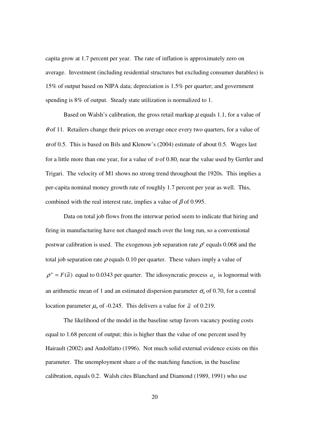capita grow at 1.7 percent per year. The rate of inflation is approximately zero on average. Investment (including residential structures but excluding consumer durables) is 15% of output based on NIPA data; depreciation is 1.5% per quarter; and government spending is 8% of output. Steady state utilization is normalized to 1.

Based on Walsh's calibration, the gross retail markup  $\mu$  equals 1.1, for a value of  $\theta$  of 11. Retailers change their prices on average once every two quarters, for a value of  $\omega$  of 0.5. This is based on Bils and Klenow's (2004) estimate of about 0.5. Wages last for a little more than one year, for a value of  $v$  of 0.80, near the value used by Gertler and Trigari. The velocity of M1 shows no strong trend throughout the 1920s. This implies a per-capita nominal money growth rate of roughly 1.7 percent per year as well. This, combined with the real interest rate, implies a value of  $\beta$  of 0.995.

 Data on total job flows from the interwar period seem to indicate that hiring and firing in manufacturing have not changed much over the long run, so a conventional postwar calibration is used. The exogenous job separation rate  $\rho^x$  equals 0.068 and the total job separation rate  $\rho$  equals 0.10 per quarter. These values imply a value of  $\rho^n = F(\tilde{a})$  equal to 0.0343 per quarter. The idiosyncratic process  $a_{it}$  is lognormal with an arithmetic mean of 1 and an estimated dispersion parameter  $\sigma_a$  of 0.70, for a central location parameter  $\mu_a$  of -0.245. This delivers a value for  $\tilde{a}$  of 0.219.

 The likelihood of the model in the baseline setup favors vacancy posting costs equal to 1.68 percent of output; this is higher than the value of one percent used by Hairault (2002) and Andolfatto (1996). Not much solid external evidence exists on this parameter. The unemployment share *a* of the matching function, in the baseline calibration, equals 0.2. Walsh cites Blanchard and Diamond (1989, 1991) who use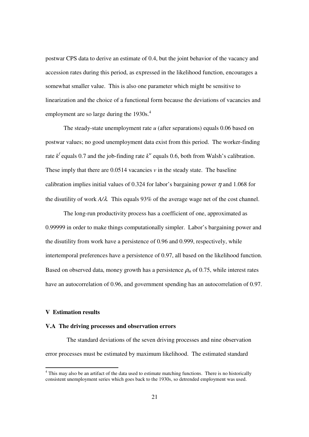postwar CPS data to derive an estimate of 0.4, but the joint behavior of the vacancy and accession rates during this period, as expressed in the likelihood function, encourages a somewhat smaller value. This is also one parameter which might be sensitive to linearization and the choice of a functional form because the deviations of vacancies and employment are so large during the  $1930s<sup>4</sup>$ .

The steady-state unemployment rate *u* (after separations) equals 0.06 based on postwar values; no good unemployment data exist from this period. The worker-finding rate  $k^f$  equals 0.7 and the job-finding rate  $k^w$  equals 0.6, both from Walsh's calibration. These imply that there are  $0.0514$  vacancies  $\nu$  in the steady state. The baseline calibration implies initial values of 0.324 for labor's bargaining power  $\eta$  and 1.068 for the disutility of work *A/*λ*.* This equals 93% of the average wage net of the cost channel.

The long-run productivity process has a coefficient of one, approximated as 0.99999 in order to make things computationally simpler. Labor's bargaining power and the disutility from work have a persistence of 0.96 and 0.999, respectively, while intertemporal preferences have a persistence of 0.97, all based on the likelihood function. Based on observed data, money growth has a persistence  $\rho_m$  of 0.75, while interest rates have an autocorrelation of 0.96, and government spending has an autocorrelation of 0.97.

#### **V Estimation results**

-

#### **V.A The driving processes and observation errors**

 The standard deviations of the seven driving processes and nine observation error processes must be estimated by maximum likelihood. The estimated standard

<sup>&</sup>lt;sup>4</sup> This may also be an artifact of the data used to estimate matching functions. There is no historically consistent unemployment series which goes back to the 1930s, so detrended employment was used.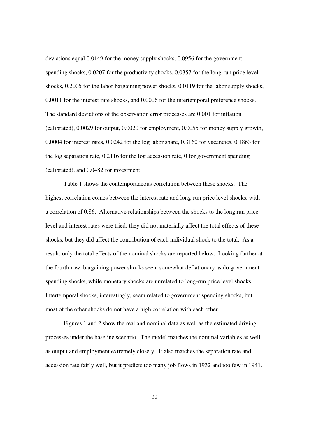deviations equal 0.0149 for the money supply shocks, 0.0956 for the government spending shocks, 0.0207 for the productivity shocks, 0.0357 for the long-run price level shocks, 0.2005 for the labor bargaining power shocks, 0.0119 for the labor supply shocks, 0.0011 for the interest rate shocks, and 0.0006 for the intertemporal preference shocks. The standard deviations of the observation error processes are 0.001 for inflation (calibrated), 0.0029 for output, 0.0020 for employment, 0.0055 for money supply growth, 0.0004 for interest rates, 0.0242 for the log labor share, 0.3160 for vacancies, 0.1863 for the log separation rate, 0.2116 for the log accession rate, 0 for government spending (calibrated), and 0.0482 for investment.

 Table 1 shows the contemporaneous correlation between these shocks. The highest correlation comes between the interest rate and long-run price level shocks, with a correlation of 0.86. Alternative relationships between the shocks to the long run price level and interest rates were tried; they did not materially affect the total effects of these shocks, but they did affect the contribution of each individual shock to the total. As a result, only the total effects of the nominal shocks are reported below. Looking further at the fourth row, bargaining power shocks seem somewhat deflationary as do government spending shocks, while monetary shocks are unrelated to long-run price level shocks. Intertemporal shocks, interestingly, seem related to government spending shocks, but most of the other shocks do not have a high correlation with each other.

 Figures 1 and 2 show the real and nominal data as well as the estimated driving processes under the baseline scenario. The model matches the nominal variables as well as output and employment extremely closely. It also matches the separation rate and accession rate fairly well, but it predicts too many job flows in 1932 and too few in 1941.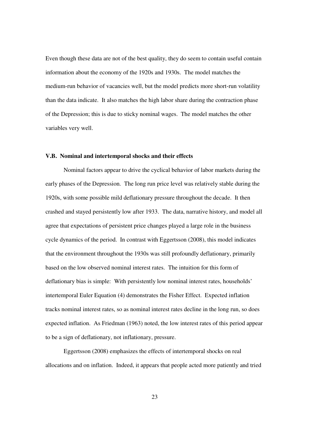Even though these data are not of the best quality, they do seem to contain useful contain information about the economy of the 1920s and 1930s. The model matches the medium-run behavior of vacancies well, but the model predicts more short-run volatility than the data indicate. It also matches the high labor share during the contraction phase of the Depression; this is due to sticky nominal wages. The model matches the other variables very well.

#### **V.B. Nominal and intertemporal shocks and their effects**

Nominal factors appear to drive the cyclical behavior of labor markets during the early phases of the Depression. The long run price level was relatively stable during the 1920s, with some possible mild deflationary pressure throughout the decade. It then crashed and stayed persistently low after 1933. The data, narrative history, and model all agree that expectations of persistent price changes played a large role in the business cycle dynamics of the period. In contrast with Eggertsson (2008), this model indicates that the environment throughout the 1930s was still profoundly deflationary, primarily based on the low observed nominal interest rates. The intuition for this form of deflationary bias is simple: With persistently low nominal interest rates, households' intertemporal Euler Equation (4) demonstrates the Fisher Effect. Expected inflation tracks nominal interest rates, so as nominal interest rates decline in the long run, so does expected inflation. As Friedman (1963) noted, the low interest rates of this period appear to be a sign of deflationary, not inflationary, pressure.

Eggertsson (2008) emphasizes the effects of intertemporal shocks on real allocations and on inflation. Indeed, it appears that people acted more patiently and tried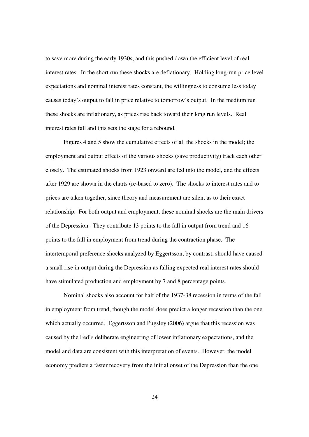to save more during the early 1930s, and this pushed down the efficient level of real interest rates. In the short run these shocks are deflationary. Holding long-run price level expectations and nominal interest rates constant, the willingness to consume less today causes today's output to fall in price relative to tomorrow's output. In the medium run these shocks are inflationary, as prices rise back toward their long run levels. Real interest rates fall and this sets the stage for a rebound.

Figures 4 and 5 show the cumulative effects of all the shocks in the model; the employment and output effects of the various shocks (save productivity) track each other closely. The estimated shocks from 1923 onward are fed into the model, and the effects after 1929 are shown in the charts (re-based to zero). The shocks to interest rates and to prices are taken together, since theory and measurement are silent as to their exact relationship. For both output and employment, these nominal shocks are the main drivers of the Depression. They contribute 13 points to the fall in output from trend and 16 points to the fall in employment from trend during the contraction phase. The intertemporal preference shocks analyzed by Eggertsson, by contrast, should have caused a small rise in output during the Depression as falling expected real interest rates should have stimulated production and employment by 7 and 8 percentage points.

Nominal shocks also account for half of the 1937-38 recession in terms of the fall in employment from trend, though the model does predict a longer recession than the one which actually occurred. Eggertsson and Pugsley (2006) argue that this recession was caused by the Fed's deliberate engineering of lower inflationary expectations, and the model and data are consistent with this interpretation of events. However, the model economy predicts a faster recovery from the initial onset of the Depression than the one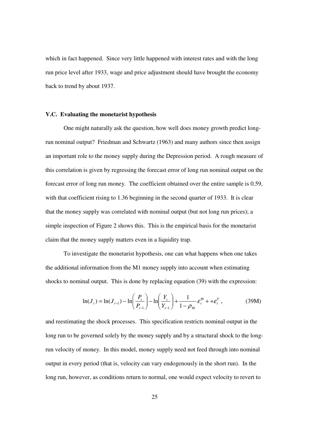which in fact happened. Since very little happened with interest rates and with the long run price level after 1933, wage and price adjustment should have brought the economy back to trend by about 1937.

#### **V.C. Evaluating the monetarist hypothesis**

One might naturally ask the question, how well does money growth predict longrun nominal output? Friedman and Schwartz (1963) and many authors since then assign an important role to the money supply during the Depression period. A rough measure of this correlation is given by regressing the forecast error of long run nominal output on the forecast error of long run money. The coefficient obtained over the entire sample is 0.59, with that coefficient rising to 1.36 beginning in the second quarter of 1933. It is clear that the money supply was correlated with nominal output (but not long run prices); a simple inspection of Figure 2 shows this. This is the empirical basis for the monetarist claim that the money supply matters even in a liquidity trap.

To investigate the monetarist hypothesis, one can what happens when one takes the additional information from the M1 money supply into account when estimating shocks to nominal output. This is done by replacing equation (39) with the expression:

$$
\ln(J_t) = \ln(J_{t-1}) - \ln\left(\frac{P_t}{P_{t-1}}\right) - \ln\left(\frac{Y_t}{Y_{t-1}}\right) + \frac{1}{1 - \rho_M} \varepsilon_t^{\Theta} + \varepsilon_t^V,
$$
 (39M)

and reestimating the shock processes. This specification restricts nominal output in the long run to be governed solely by the money supply and by a structural shock to the longrun velocity of money. In this model, money supply need not feed through into nominal output in every period (that is, velocity can vary endogenously in the short run). In the long run, however, as conditions return to normal, one would expect velocity to revert to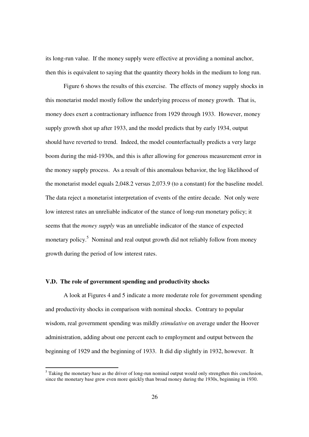its long-run value. If the money supply were effective at providing a nominal anchor, then this is equivalent to saying that the quantity theory holds in the medium to long run.

 Figure 6 shows the results of this exercise. The effects of money supply shocks in this monetarist model mostly follow the underlying process of money growth. That is, money does exert a contractionary influence from 1929 through 1933. However, money supply growth shot up after 1933, and the model predicts that by early 1934, output should have reverted to trend. Indeed, the model counterfactually predicts a very large boom during the mid-1930s, and this is after allowing for generous measurement error in the money supply process. As a result of this anomalous behavior, the log likelihood of the monetarist model equals 2,048.2 versus 2,073.9 (to a constant) for the baseline model. The data reject a monetarist interpretation of events of the entire decade. Not only were low interest rates an unreliable indicator of the stance of long-run monetary policy; it seems that the *money supply* was an unreliable indicator of the stance of expected monetary policy.<sup>5</sup> Nominal and real output growth did not reliably follow from money growth during the period of low interest rates.

#### **V.D. The role of government spending and productivity shocks**

 A look at Figures 4 and 5 indicate a more moderate role for government spending and productivity shocks in comparison with nominal shocks. Contrary to popular wisdom, real government spending was mildly *stimulative* on average under the Hoover administration, adding about one percent each to employment and output between the beginning of 1929 and the beginning of 1933. It did dip slightly in 1932, however. It

<sup>&</sup>lt;sup>5</sup> Taking the monetary base as the driver of long-run nominal output would only strengthen this conclusion, since the monetary base grew even more quickly than broad money during the 1930s, beginning in 1930.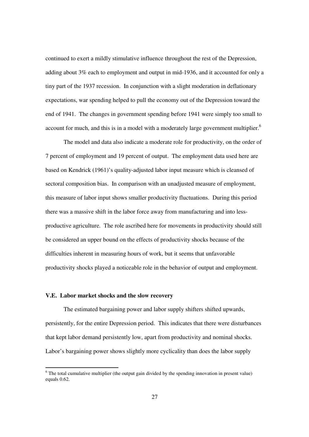continued to exert a mildly stimulative influence throughout the rest of the Depression, adding about 3% each to employment and output in mid-1936, and it accounted for only a tiny part of the 1937 recession. In conjunction with a slight moderation in deflationary expectations, war spending helped to pull the economy out of the Depression toward the end of 1941. The changes in government spending before 1941 were simply too small to account for much, and this is in a model with a moderately large government multiplier.<sup>6</sup>

 The model and data also indicate a moderate role for productivity, on the order of 7 percent of employment and 19 percent of output. The employment data used here are based on Kendrick (1961)'s quality-adjusted labor input measure which is cleansed of sectoral composition bias. In comparison with an unadjusted measure of employment, this measure of labor input shows smaller productivity fluctuations. During this period there was a massive shift in the labor force away from manufacturing and into lessproductive agriculture. The role ascribed here for movements in productivity should still be considered an upper bound on the effects of productivity shocks because of the difficulties inherent in measuring hours of work, but it seems that unfavorable productivity shocks played a noticeable role in the behavior of output and employment.

#### **V.E. Labor market shocks and the slow recovery**

 The estimated bargaining power and labor supply shifters shifted upwards, persistently, for the entire Depression period. This indicates that there were disturbances that kept labor demand persistently low, apart from productivity and nominal shocks. Labor's bargaining power shows slightly more cyclicality than does the labor supply

The total cumulative multiplier (the output gain divided by the spending innovation in present value) equals 0.62.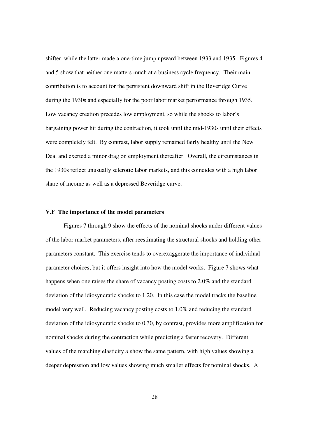shifter, while the latter made a one-time jump upward between 1933 and 1935. Figures 4 and 5 show that neither one matters much at a business cycle frequency. Their main contribution is to account for the persistent downward shift in the Beveridge Curve during the 1930s and especially for the poor labor market performance through 1935. Low vacancy creation precedes low employment, so while the shocks to labor's bargaining power hit during the contraction, it took until the mid-1930s until their effects were completely felt. By contrast, labor supply remained fairly healthy until the New Deal and exerted a minor drag on employment thereafter. Overall, the circumstances in the 1930s reflect unusually sclerotic labor markets, and this coincides with a high labor share of income as well as a depressed Beveridge curve.

#### **V.F The importance of the model parameters**

 Figures 7 through 9 show the effects of the nominal shocks under different values of the labor market parameters, after reestimating the structural shocks and holding other parameters constant. This exercise tends to overexaggerate the importance of individual parameter choices, but it offers insight into how the model works. Figure 7 shows what happens when one raises the share of vacancy posting costs to 2.0% and the standard deviation of the idiosyncratic shocks to 1.20. In this case the model tracks the baseline model very well. Reducing vacancy posting costs to 1.0% and reducing the standard deviation of the idiosyncratic shocks to 0.30, by contrast, provides more amplification for nominal shocks during the contraction while predicting a faster recovery. Different values of the matching elasticity *a* show the same pattern, with high values showing a deeper depression and low values showing much smaller effects for nominal shocks. A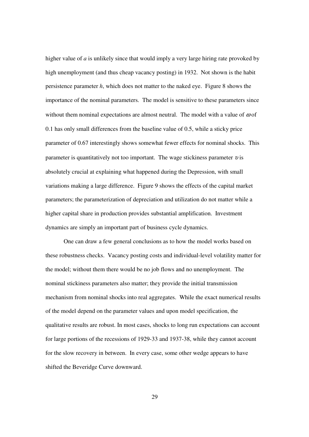higher value of *a* is unlikely since that would imply a very large hiring rate provoked by high unemployment (and thus cheap vacancy posting) in 1932. Not shown is the habit persistence parameter *h*, which does not matter to the naked eye. Figure 8 shows the importance of the nominal parameters. The model is sensitive to these parameters since without them nominal expectations are almost neutral. The model with a value of  $\omega$  of 0.1 has only small differences from the baseline value of 0.5, while a sticky price parameter of 0.67 interestingly shows somewhat fewer effects for nominal shocks. This parameter is quantitatively not too important. The wage stickiness parameter  $v$  is absolutely crucial at explaining what happened during the Depression, with small variations making a large difference. Figure 9 shows the effects of the capital market parameters; the parameterization of depreciation and utilization do not matter while a higher capital share in production provides substantial amplification. Investment dynamics are simply an important part of business cycle dynamics.

 One can draw a few general conclusions as to how the model works based on these robustness checks. Vacancy posting costs and individual-level volatility matter for the model; without them there would be no job flows and no unemployment. The nominal stickiness parameters also matter; they provide the initial transmission mechanism from nominal shocks into real aggregates. While the exact numerical results of the model depend on the parameter values and upon model specification, the qualitative results are robust. In most cases, shocks to long run expectations can account for large portions of the recessions of 1929-33 and 1937-38, while they cannot account for the slow recovery in between. In every case, some other wedge appears to have shifted the Beveridge Curve downward.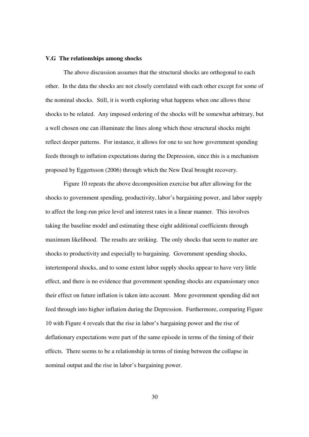#### **V.G The relationships among shocks**

 The above discussion assumes that the structural shocks are orthogonal to each other. In the data the shocks are not closely correlated with each other except for some of the nominal shocks. Still, it is worth exploring what happens when one allows these shocks to be related. Any imposed ordering of the shocks will be somewhat arbitrary, but a well chosen one can illuminate the lines along which these structural shocks might reflect deeper patterns. For instance, it allows for one to see how government spending feeds through to inflation expectations during the Depression, since this is a mechanism proposed by Eggertsson (2006) through which the New Deal brought recovery.

 Figure 10 repeats the above decomposition exercise but after allowing for the shocks to government spending, productivity, labor's bargaining power, and labor supply to affect the long-run price level and interest rates in a linear manner. This involves taking the baseline model and estimating these eight additional coefficients through maximum likelihood. The results are striking. The only shocks that seem to matter are shocks to productivity and especially to bargaining. Government spending shocks, intertemporal shocks, and to some extent labor supply shocks appear to have very little effect, and there is no evidence that government spending shocks are expansionary once their effect on future inflation is taken into account. More government spending did not feed through into higher inflation during the Depression. Furthermore, comparing Figure 10 with Figure 4 reveals that the rise in labor's bargaining power and the rise of deflationary expectations were part of the same episode in terms of the timing of their effects. There seems to be a relationship in terms of timing between the collapse in nominal output and the rise in labor's bargaining power.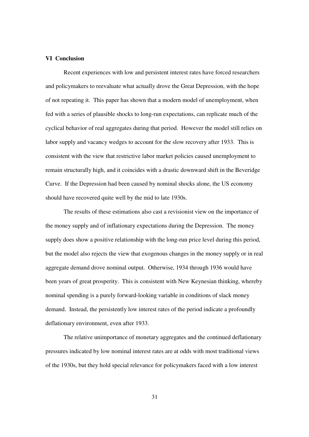#### **VI Conclusion**

 Recent experiences with low and persistent interest rates have forced researchers and policymakers to reevaluate what actually drove the Great Depression, with the hope of not repeating it. This paper has shown that a modern model of unemployment, when fed with a series of plausible shocks to long-run expectations, can replicate much of the cyclical behavior of real aggregates during that period. However the model still relies on labor supply and vacancy wedges to account for the slow recovery after 1933. This is consistent with the view that restrictive labor market policies caused unemployment to remain structurally high, and it coincides with a drastic downward shift in the Beveridge Curve. If the Depression had been caused by nominal shocks alone, the US economy should have recovered quite well by the mid to late 1930s.

 The results of these estimations also cast a revisionist view on the importance of the money supply and of inflationary expectations during the Depression. The money supply does show a positive relationship with the long-run price level during this period, but the model also rejects the view that exogenous changes in the money supply or in real aggregate demand drove nominal output. Otherwise, 1934 through 1936 would have been years of great prosperity. This is consistent with New Keynesian thinking, whereby nominal spending is a purely forward-looking variable in conditions of slack money demand. Instead, the persistently low interest rates of the period indicate a profoundly deflationary environment, even after 1933.

The relative unimportance of monetary aggregates and the continued deflationary pressures indicated by low nominal interest rates are at odds with most traditional views of the 1930s, but they hold special relevance for policymakers faced with a low interest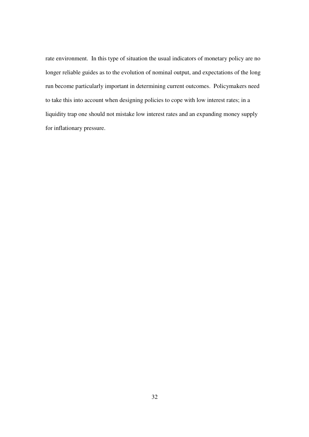rate environment. In this type of situation the usual indicators of monetary policy are no longer reliable guides as to the evolution of nominal output, and expectations of the long run become particularly important in determining current outcomes. Policymakers need to take this into account when designing policies to cope with low interest rates; in a liquidity trap one should not mistake low interest rates and an expanding money supply for inflationary pressure.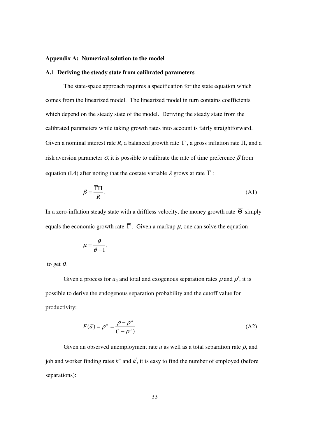#### **Appendix A: Numerical solution to the model**

#### **A.1 Deriving the steady state from calibrated parameters**

 The state-space approach requires a specification for the state equation which comes from the linearized model. The linearized model in turn contains coefficients which depend on the steady state of the model. Deriving the steady state from the calibrated parameters while taking growth rates into account is fairly straightforward. Given a nominal interest rate *R*, a balanced growth rate  $\overline{\Gamma}$ , a gross inflation rate  $\Pi$ , and a risk aversion parameter  $\sigma$ , it is possible to calibrate the rate of time preference  $\beta$  from equation (I.4) after noting that the costate variable  $\lambda$  grows at rate  $\overline{\Gamma}$ :

$$
\beta = \frac{\overline{\Gamma} \Pi}{R}.
$$
\n(A1)

In a zero-inflation steady state with a driftless velocity, the money growth rate  $\overline{\Theta}$  simply equals the economic growth rate  $\overline{\Gamma}$ . Given a markup  $\mu$ , one can solve the equation

$$
\mu=\frac{\theta}{\theta-1},
$$

to get  $\theta$ .

Given a process for  $a_{it}$  and total and exogenous separation rates  $\rho$  and  $\rho^x$ , it is possible to derive the endogenous separation probability and the cutoff value for productivity:

$$
F(\tilde{a}) = \rho^n = \frac{\rho - \rho^x}{(1 - \rho^x)}.
$$
 (A2)

Given an observed unemployment rate  $u$  as well as a total separation rate  $\rho$ , and job and worker finding rates  $k^w$  and  $k^f$ , it is easy to find the number of employed (before separations):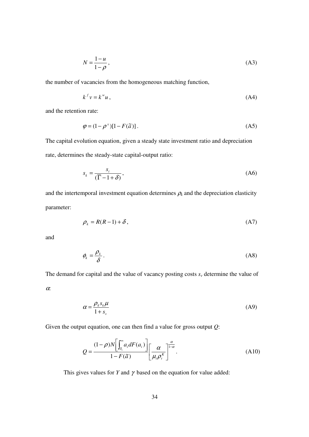$$
N = \frac{1 - u}{1 - \rho},\tag{A3}
$$

the number of vacancies from the homogeneous matching function,

$$
k^f v = k^w u \,, \tag{A4}
$$

and the retention rate:

$$
\varphi = (1 - \rho^x)[1 - F(\tilde{a})]. \tag{A5}
$$

The capital evolution equation, given a steady state investment ratio and depreciation rate, determines the steady-state capital-output ratio:

$$
s_k = \frac{s_i}{(\overline{\Gamma} - 1 + \delta)},\tag{A6}
$$

and the intertemporal investment equation determines  $\rho_k$  and the depreciation elasticity parameter:

$$
\rho_k = R(R-1) + \delta \,, \tag{A7}
$$

and

$$
\phi_k = \frac{\rho_k}{\delta} \,. \tag{A8}
$$

The demand for capital and the value of vacancy posting costs  $s<sub>y</sub>$  determine the value of

<sup>α</sup>:

$$
\alpha = \frac{\rho_k s_k \mu}{1 + s_v} \tag{A9}
$$

Given the output equation, one can then find a value for gross output *Q*:

$$
Q = \frac{(1-\rho)N\left[\int_{\tilde{a}_i}^{\infty} a_i dF(a_i)\right]}{1-F(\tilde{a})}\left[\frac{\alpha}{\mu_i \rho_i^k}\right]^{\frac{\alpha}{1-\alpha}}.
$$
 (A10)

This gives values for *Y* and  $\gamma$  based on the equation for value added: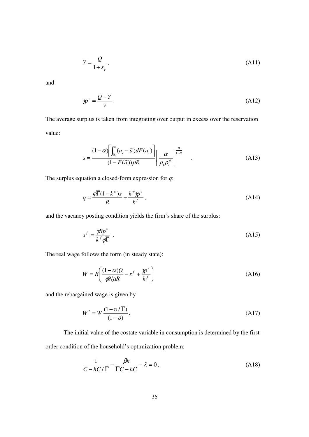$$
Y = \frac{Q}{1 + s_v},\tag{A11}
$$

and

$$
\gamma p^{\nu} = \frac{Q - Y}{\nu}.
$$
\n(A12)

The average surplus is taken from integrating over output in excess over the reservation value:

$$
s = \frac{(1-\alpha)\left[\int_{\tilde{a}_i}^{\infty} (a_i - \tilde{a}) dF(a_i)\right]}{(1 - F(\tilde{a}))\mu R} \left[\frac{\alpha}{\mu_i \rho_i^k}\right]^{\frac{\alpha}{1-\alpha}}.
$$
 (A13)

The surplus equation a closed-form expression for *q*:

$$
q = \frac{\varphi \overline{\Gamma}(1 - k^{\omega})s}{R} + \frac{k^{\omega} \varphi^{\omega}}{k^f},
$$
\n(A14)

and the vacancy posting condition yields the firm's share of the surplus:

$$
s^f = \frac{\mathcal{R}p^{\nu}}{k^f \varphi \overline{\Gamma}} \tag{A15}
$$

The real wage follows the form (in steady state):

$$
W = R \left( \frac{(1 - \alpha)Q}{\varphi N \mu R} - s^f + \frac{\eta p^{\nu}}{k^f} \right)
$$
(A16)

and the rebargained wage is given by

$$
W^* = W \frac{(1 - v/\overline{\Gamma})}{(1 - v)}.
$$
\n(A17)

 The initial value of the costate variable in consumption is determined by the firstorder condition of the household's optimization problem:

$$
\frac{1}{C - hC/\overline{\Gamma}} - \frac{\beta h}{\overline{\Gamma}C - hC} - \lambda = 0,
$$
\n(A18)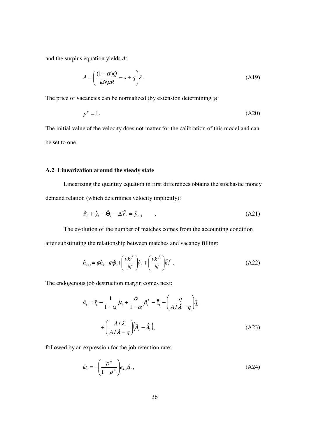and the surplus equation yields *A*:

$$
A = \left(\frac{(1-\alpha)Q}{\varphi N\mu R} - s + q\right)\lambda.
$$
 (A19)

The price of vacancies can be normalized (by extension determining  $\gamma$ ):

$$
p^{\nu} = 1. \tag{A20}
$$

The initial value of the velocity does not matter for the calibration of this model and can be set to one.

#### **A.2 Linearization around the steady state**

 Linearizing the quantity equation in first differences obtains the stochastic money demand relation (which determines velocity implicitly):

$$
\hat{\pi}_t + \hat{y}_t - \hat{\Theta}_t - \Delta \hat{V}_t = \hat{y}_{t-1} \tag{A21}
$$

 The evolution of the number of matches comes from the accounting condition after substituting the relationship between matches and vacancy filling:

$$
\hat{n}_{t+1} = \varphi \hat{n}_t + \varphi \hat{\varphi}_t + \left(\frac{vk^f}{N}\right) \hat{v}_t + \left(\frac{vk^f}{N}\right) \hat{k}_t^f.
$$
\n(A22)

The endogenous job destruction margin comes next:

$$
\hat{a}_t = \hat{r}_t + \frac{1}{1-\alpha} \hat{\mu}_t + \frac{\alpha}{1-\alpha} \hat{\rho}_t^k - \hat{\bar{z}}_t - \left(\frac{q}{A/\lambda - q}\right) \hat{q}_t
$$

$$
+ \left(\frac{A/\lambda}{A/\lambda - q}\right) \left(\hat{A}_t - \hat{\lambda}_t\right), \tag{A23}
$$

followed by an expression for the job retention rate:

$$
\hat{\varphi}_t = -\left(\frac{\rho^n}{1 - \rho^n}\right) e_{Fa} \hat{a}_t, \tag{A24}
$$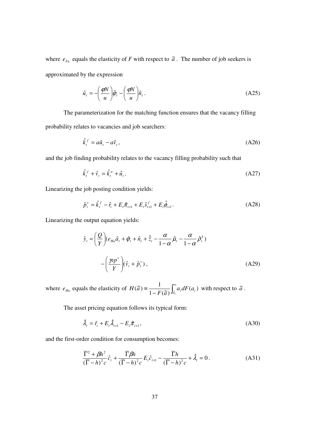where  $e_{Fa}$  equals the elasticity of *F* with respect to  $\tilde{a}$ . The number of job seekers is approximated by the expression

$$
\hat{u}_t = -\left(\frac{\varphi N}{u}\right)\hat{\varphi}_t - \left(\frac{\varphi N}{u}\right)\hat{n}_t.
$$
\n(A25)

 The parameterization for the matching function ensures that the vacancy filling probability relates to vacancies and job searchers:

$$
\hat{k}_t^f = a\hat{u}_t - a\hat{v}_t,\tag{A26}
$$

and the job finding probability relates to the vacancy filling probability such that

$$
\hat{k}_t^f + \hat{v}_t = \hat{k}_t^w + \hat{u}_t. \tag{A27}
$$

Linearizing the job posting condition yields:

$$
\hat{p}_t^{\nu} = \hat{k}_t^f - \hat{r}_t + E_t \hat{\pi}_{t+1} + E_t \hat{s}_{t+1}^f + E_t \hat{\phi}_{t+1}.
$$
\n(A28)

Linearizing the output equation yields:

$$
\hat{y}_t = \left(\frac{Q}{Y}\right)(e_{Ha}\hat{a}_t + \hat{\varphi}_t + \hat{n}_t + \hat{\bar{z}}_t - \frac{\alpha}{1-\alpha}\hat{\mu}_t - \frac{\alpha}{1-\alpha}\hat{\rho}_t^k)
$$

$$
-\left(\frac{\gamma p^{\nu}}{Y}\right)(\hat{v}_t + \hat{p}_t^{\nu}), \tag{A29}
$$

where  $e_{Ha}$  equals the elasticity of  $H(\tilde{a}) = \frac{1}{1 - E(\tilde{a})} \int_{\tilde{a}}^{\infty}$ −  $\equiv \frac{1}{1-F(\tilde{a})}\int_{\tilde{a}_i} a_i dF(a_i)$  $H(\tilde{a}) \equiv \frac{1}{1 - F(\tilde{a})} \int_{\tilde{a}_i} a_i dF(a_i)$  $\overline{1-F(\tilde{a})}$  $(\tilde{a}) = \frac{1}{\sqrt{a}} \int_{a}^{\infty} a_i dF(a_i)$  with respect to  $\tilde{a}$ .

The asset pricing equation follows its typical form:

$$
\hat{\lambda}_{t} = \hat{r}_{t} + E_{t}\hat{\lambda}_{t+1} - E_{t}\hat{\pi}_{t+1},
$$
\n(A30)

and the first-order condition for consumption becomes:

$$
\frac{\overline{\Gamma}^2 + \beta h^2}{\left(\overline{\Gamma} - h\right)^2 c} \hat{c}_t + \frac{\overline{\Gamma} \beta h}{\left(\overline{\Gamma} - h\right)^2 c} E_t \hat{c}_{t+1} - \frac{\overline{\Gamma} h}{\left(\overline{\Gamma} - h\right)^2 c} + \hat{\lambda}_t = 0. \tag{A31}
$$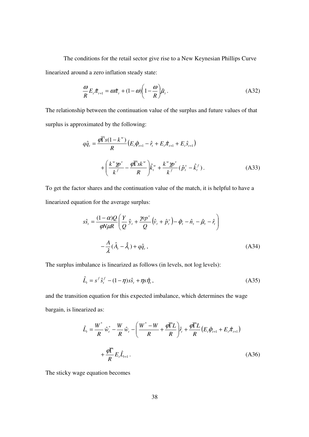The conditions for the retail sector give rise to a New Keynesian Phillips Curve linearized around a zero inflation steady state:

$$
\frac{\omega}{R}E_{t}\hat{\pi}_{t+1} = \omega \hat{\pi}_{t} + (1 - \omega) \left(1 - \frac{\omega}{R}\right) \hat{\mu}_{t}.
$$
\n(A32)

The relationship between the continuation value of the surplus and future values of that surplus is approximated by the following:

$$
q\hat{q}_t = \frac{\varphi \overline{\Gamma}_s (1 - k^w)}{R} \left( E_t \hat{\varphi}_{t+1} - \hat{r}_t + E_t \hat{\pi}_{t+1} + E_t \hat{s}_{t+1} \right)
$$
  
+ 
$$
\left( \frac{k^w \pmb{p}^v}{k^f} - \frac{\varphi \overline{\Gamma}_s k^w}{R} \right) \hat{k}_t^w + \frac{k^w \pmb{p}^v}{k^f} (\hat{p}_t^v - \hat{k}_t^f).
$$
 (A33)

To get the factor shares and the continuation value of the match, it is helpful to have a linearized equation for the average surplus:

$$
s\hat{s}_t = \frac{(1-\alpha)Q}{\varphi N\mu R} \left( \frac{Y}{Q} \hat{y}_t + \frac{\gamma p v}{Q} (\hat{v}_t + \hat{p}_t^{\nu}) - \hat{\varphi}_t - \hat{n}_t - \hat{\mu}_t - \hat{r}_t \right)
$$

$$
- \frac{A}{\lambda} (\hat{A}_t - \hat{\lambda}_t) + q\hat{q}_t,
$$
(A34)

The surplus imbalance is linearized as follows (in levels, not log levels):

$$
\hat{L}_t = s^f \hat{s}_t^f - (1 - \eta)s\hat{s}_t + \eta s\hat{\eta}_t, \tag{A35}
$$

and the transition equation for this expected imbalance, which determines the wage bargain, is linearized as:

$$
\hat{L}_{t} = \frac{W^{*}}{R} \hat{w}_{t}^{*} - \frac{W}{R} \hat{w}_{t} - \left(\frac{W^{*} - W}{R} + \frac{\varphi \overline{\Gamma}L}{R}\right) \hat{r}_{t} + \frac{\varphi \overline{\Gamma}L}{R} (E_{t} \hat{\varphi}_{t+1} + E_{t} \hat{\pi}_{t+1}) + \frac{\varphi \overline{\Gamma}}{R} E_{t} \hat{L}_{t+1}.
$$
\n(A36)

The sticky wage equation becomes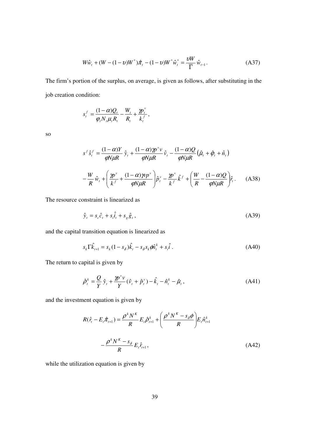$$
W\hat{w}_t + (W - (1 - v)W^*)\hat{\pi}_t - (1 - v)W^*\hat{w}_t^* = \frac{vW}{\overline{\Gamma}}\hat{w}_{t-1}.
$$
 (A37)

The firm's portion of the surplus, on average, is given as follows, after substituting in the job creation condition:

$$
s_t^f = \frac{(1-\alpha)Q_t}{\varphi_t N_t \mu_t R_t} - \frac{W_t}{R_t} + \frac{\mathcal{W}_t^{\nu}}{k_t^f},
$$

so

$$
s^f \hat{s}_t^f = \frac{(1-\alpha)Y}{\varphi N \mu R} \hat{y}_t + \frac{(1-\alpha)Y}{\varphi N \mu R} \hat{v}_t - \frac{(1-\alpha)Q}{\varphi N \mu R} (\hat{\mu}_t + \hat{\varphi}_t + \hat{n}_t)
$$

$$
-\frac{W}{R} \hat{w}_t + \left(\frac{\gamma p^{\nu}}{k^f} + \frac{(1-\alpha)\gamma p^{\nu}}{\varphi N \mu R}\right) \hat{p}_t^{\nu} - \frac{\gamma p^{\nu}}{k^f} \hat{k}^f + \left(\frac{W}{R} - \frac{(1-\alpha)Q}{\varphi N \mu R}\right) \hat{r}_t. \tag{A38}
$$

The resource constraint is linearized as

$$
\hat{y}_t = s_c \hat{c}_t + s_i \hat{i}_t + s_g \hat{g}_t, \qquad (A39)
$$

and the capital transition equation is linearized as

$$
s_k \Gamma \hat{k}_{t+1} = s_k (1 - s_\delta) \hat{k}_t - s_\delta s_k \phi \hat{n}_t^k + s_i \hat{i} \,. \tag{A40}
$$

The return to capital is given by

$$
\hat{\rho}_t^k = \frac{Q}{Y} \hat{y}_t + \frac{\gamma p^{\nu} \nu}{Y} (\hat{v}_t + \hat{p}_t^{\nu}) - \hat{k}_t - \hat{n}_t^k - \hat{\mu}_t, \tag{A41}
$$

and the investment equation is given by

$$
R(\hat{r}_t - E_t \hat{\pi}_{t+1}) = \frac{\rho^k N^K}{R} E_t \hat{\rho}_{t+1}^k + \left(\frac{\rho^k N^K - s_{\delta} \phi}{R}\right) E_t \hat{n}_{t+1}^k
$$

$$
- \frac{\rho^k N^K - s_{\delta}}{R} E_t \hat{r}_{t+1},
$$
(A42)

while the utilization equation is given by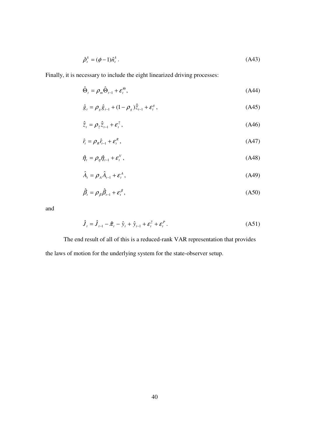$$
\hat{\rho}_t^k = (\phi - 1)\hat{n}_t^k. \tag{A43}
$$

Finally, it is necessary to include the eight linearized driving processes:

$$
\hat{\Theta}_t = \rho_m \hat{\Theta}_{t-1} + \varepsilon_t^{\Theta},\tag{A44}
$$

$$
\hat{g}_t = \rho_g \hat{g}_{t-1} + (1 - \rho_g) \hat{\bar{z}}_{t-1} + \varepsilon_t^g,
$$
\n(A45)

$$
\hat{\overline{z}}_t = \rho_{\overline{z}} \hat{\overline{z}}_{t-1} + \varepsilon_t^{\overline{z}}, \tag{A46}
$$

$$
\hat{r}_t = \rho_R \hat{r}_{t-1} + \varepsilon_t^R, \tag{A47}
$$

$$
\hat{\eta}_i = \rho_{\eta} \hat{\eta}_{i-1} + \varepsilon_i^V, \tag{A48}
$$

$$
\hat{A}_t = \rho_A \hat{A}_{t-1} + \varepsilon_t^A, \tag{A49}
$$

$$
\hat{\beta}_i = \rho_{\beta} \hat{\beta}_{i-1} + \varepsilon_i^{\beta}, \tag{A50}
$$

and

$$
\hat{J}_t = \hat{J}_{t-1} - \hat{\pi}_t - \hat{y}_t + \hat{y}_{t-1} + \varepsilon_t^{\bar{z}} + \varepsilon_t^P.
$$
\n(A51)

 The end result of all of this is a reduced-rank VAR representation that provides the laws of motion for the underlying system for the state-observer setup.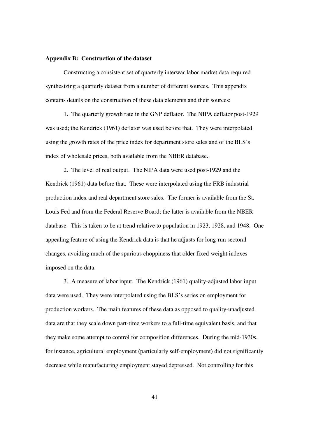#### **Appendix B: Construction of the dataset**

 Constructing a consistent set of quarterly interwar labor market data required synthesizing a quarterly dataset from a number of different sources. This appendix contains details on the construction of these data elements and their sources:

 1. The quarterly growth rate in the GNP deflator. The NIPA deflator post-1929 was used; the Kendrick (1961) deflator was used before that. They were interpolated using the growth rates of the price index for department store sales and of the BLS's index of wholesale prices, both available from the NBER database.

 2. The level of real output. The NIPA data were used post-1929 and the Kendrick (1961) data before that. These were interpolated using the FRB industrial production index and real department store sales. The former is available from the St. Louis Fed and from the Federal Reserve Board; the latter is available from the NBER database. This is taken to be at trend relative to population in 1923, 1928, and 1948. One appealing feature of using the Kendrick data is that he adjusts for long-run sectoral changes, avoiding much of the spurious choppiness that older fixed-weight indexes imposed on the data.

 3. A measure of labor input. The Kendrick (1961) quality-adjusted labor input data were used. They were interpolated using the BLS's series on employment for production workers. The main features of these data as opposed to quality-unadjusted data are that they scale down part-time workers to a full-time equivalent basis, and that they make some attempt to control for composition differences. During the mid-1930s, for instance, agricultural employment (particularly self-employment) did not significantly decrease while manufacturing employment stayed depressed. Not controlling for this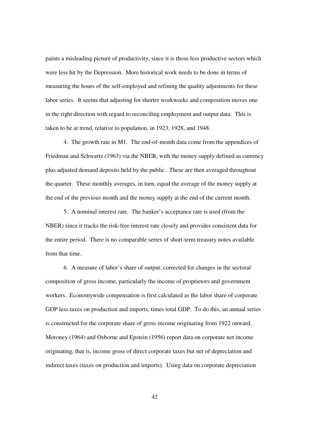paints a misleading picture of productivity, since it is those less productive sectors which were less hit by the Depression. More historical work needs to be done in terms of measuring the hours of the self-employed and refining the quality adjustments for these labor series. It seems that adjusting for shorter workweeks and composition moves one in the right direction with regard to reconciling employment and output data. This is taken to be at trend, relative to population, in 1923, 1928, and 1948.

 4. The growth rate in M1. The end-of-month data come from the appendices of Friedman and Schwartz (1963) via the NBER, with the money supply defined as currency plus adjusted demand deposits held by the public. These are then averaged throughout the quarter. These monthly averages, in turn, equal the average of the money supply at the end of the previous month and the money supply at the end of the current month.

 5. A nominal interest rate. The banker's acceptance rate is used (from the NBER) since it tracks the risk-free interest rate closely and provides consistent data for the entire period. There is no comparable series of short-term treasury notes available from that time.

 6. A measure of labor's share of output, corrected for changes in the sectoral composition of gross income, particularly the income of proprietors and government workers. Economywide compensation is first calculated as the labor share of corporate GDP less taxes on production and imports, times total GDP. To do this, an annual series is constructed for the corporate share of gross income originating from 1922 onward. Moroney (1964) and Osborne and Epstein (1956) report data on corporate net income originating, that is, income gross of direct corporate taxes but net of depreciation and indirect taxes (taxes on production and imports). Using data on corporate depreciation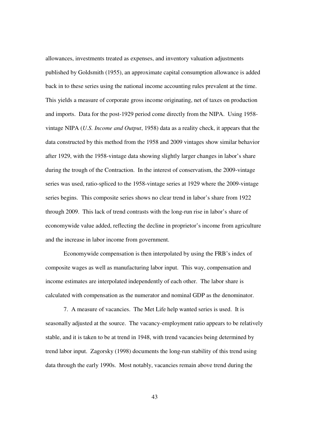allowances, investments treated as expenses, and inventory valuation adjustments published by Goldsmith (1955), an approximate capital consumption allowance is added back in to these series using the national income accounting rules prevalent at the time. This yields a measure of corporate gross income originating, net of taxes on production and imports. Data for the post-1929 period come directly from the NIPA. Using 1958 vintage NIPA (*U.S. Income and Output*, 1958) data as a reality check, it appears that the data constructed by this method from the 1958 and 2009 vintages show similar behavior after 1929, with the 1958-vintage data showing slightly larger changes in labor's share during the trough of the Contraction. In the interest of conservatism, the 2009-vintage series was used, ratio-spliced to the 1958-vintage series at 1929 where the 2009-vintage series begins. This composite series shows no clear trend in labor's share from 1922 through 2009. This lack of trend contrasts with the long-run rise in labor's share of economywide value added, reflecting the decline in proprietor's income from agriculture and the increase in labor income from government.

 Economywide compensation is then interpolated by using the FRB's index of composite wages as well as manufacturing labor input. This way, compensation and income estimates are interpolated independently of each other. The labor share is calculated with compensation as the numerator and nominal GDP as the denominator.

 7. A measure of vacancies. The Met Life help wanted series is used. It is seasonally adjusted at the source. The vacancy-employment ratio appears to be relatively stable, and it is taken to be at trend in 1948, with trend vacancies being determined by trend labor input. Zagorsky (1998) documents the long-run stability of this trend using data through the early 1990s. Most notably, vacancies remain above trend during the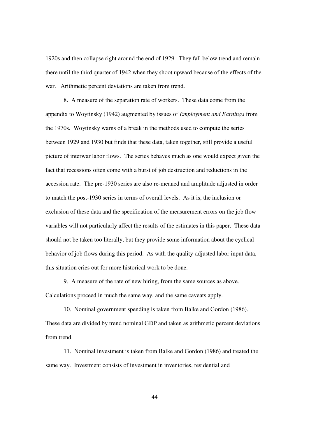1920s and then collapse right around the end of 1929. They fall below trend and remain there until the third quarter of 1942 when they shoot upward because of the effects of the war. Arithmetic percent deviations are taken from trend.

 8. A measure of the separation rate of workers. These data come from the appendix to Woytinsky (1942) augmented by issues of *Employment and Earnings* from the 1970s. Woytinsky warns of a break in the methods used to compute the series between 1929 and 1930 but finds that these data, taken together, still provide a useful picture of interwar labor flows. The series behaves much as one would expect given the fact that recessions often come with a burst of job destruction and reductions in the accession rate. The pre-1930 series are also re-meaned and amplitude adjusted in order to match the post-1930 series in terms of overall levels. As it is, the inclusion or exclusion of these data and the specification of the measurement errors on the job flow variables will not particularly affect the results of the estimates in this paper. These data should not be taken too literally, but they provide some information about the cyclical behavior of job flows during this period. As with the quality-adjusted labor input data, this situation cries out for more historical work to be done.

 9. A measure of the rate of new hiring, from the same sources as above. Calculations proceed in much the same way, and the same caveats apply.

 10. Nominal government spending is taken from Balke and Gordon (1986). These data are divided by trend nominal GDP and taken as arithmetic percent deviations from trend.

 11. Nominal investment is taken from Balke and Gordon (1986) and treated the same way. Investment consists of investment in inventories, residential and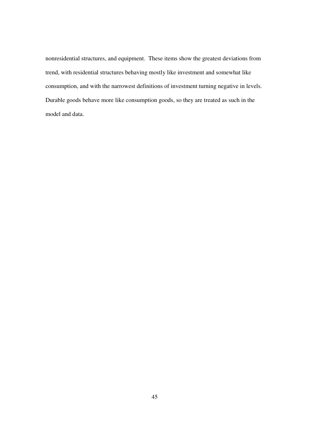nonresidential structures, and equipment. These items show the greatest deviations from trend, with residential structures behaving mostly like investment and somewhat like consumption, and with the narrowest definitions of investment turning negative in levels. Durable goods behave more like consumption goods, so they are treated as such in the model and data.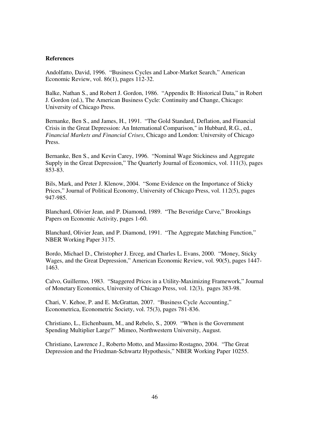#### **References**

Andolfatto, David, 1996. "Business Cycles and Labor-Market Search," American Economic Review, vol. 86(1), pages 112-32.

Balke, Nathan S., and Robert J. Gordon, 1986. "Appendix B: Historical Data," in Robert J. Gordon (ed.), The American Business Cycle: Continuity and Change, Chicago: University of Chicago Press.

Bernanke, Ben S., and James, H., 1991. "The Gold Standard, Deflation, and Financial Crisis in the Great Depression: An International Comparison," in Hubbard, R.G., ed., *Financial Markets and Financial Crises*, Chicago and London: University of Chicago Press.

Bernanke, Ben S., and Kevin Carey, 1996. "Nominal Wage Stickiness and Aggregate Supply in the Great Depression," The Quarterly Journal of Economics, vol. 111(3), pages 853-83.

Bils, Mark, and Peter J. Klenow, 2004. "Some Evidence on the Importance of Sticky Prices," Journal of Political Economy, University of Chicago Press, vol. 112(5), pages 947-985.

Blanchard, Olivier Jean, and P. Diamond, 1989. "The Beveridge Curve," Brookings Papers on Economic Activity, pages 1-60.

Blanchard, Olivier Jean, and P. Diamond, 1991. "The Aggregate Matching Function," NBER Working Paper 3175.

Bordo, Michael D., Christopher J. Erceg, and Charles L. Evans, 2000. "Money, Sticky Wages, and the Great Depression," American Economic Review, vol. 90(5), pages 1447- 1463.

Calvo, Guillermo, 1983. "Staggered Prices in a Utility-Maximizing Framework," Journal of Monetary Economics, University of Chicago Press, vol. 12(3), pages 383-98.

Chari, V. Kehoe, P. and E. McGrattan, 2007. "Business Cycle Accounting," Econometrica, Econometric Society, vol. 75(3), pages 781-836.

Christiano, L., Eichenbaum, M., and Rebelo, S., 2009. "When is the Government Spending Multiplier Large?" Mimeo, Northwestern University, August.

Christiano, Lawrence J., Roberto Motto, and Massimo Rostagno, 2004. "The Great Depression and the Friedman-Schwartz Hypothesis," NBER Working Paper 10255.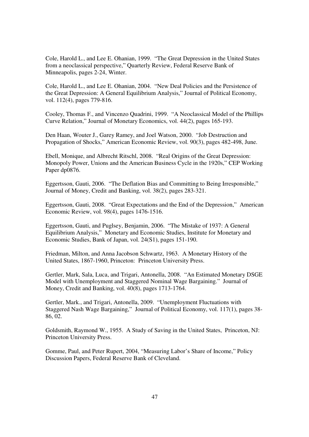Cole, Harold L., and Lee E. Ohanian, 1999. "The Great Depression in the United States from a neoclassical perspective," Quarterly Review, Federal Reserve Bank of Minneapolis, pages 2-24, Winter.

Cole, Harold L., and Lee E. Ohanian, 2004. "New Deal Policies and the Persistence of the Great Depression: A General Equilibrium Analysis," Journal of Political Economy, vol. 112(4), pages 779-816.

Cooley, Thomas F., and Vincenzo Quadrini, 1999. "A Neoclassical Model of the Phillips Curve Relation," Journal of Monetary Economics, vol. 44(2), pages 165-193.

Den Haan, Wouter J., Garey Ramey, and Joel Watson, 2000. "Job Destruction and Propagation of Shocks," American Economic Review, vol. 90(3), pages 482-498, June.

Ebell, Monique, and Albrecht Ritschl, 2008. "Real Origins of the Great Depression: Monopoly Power, Unions and the American Business Cycle in the 1920s," CEP Working Paper dp0876.

Eggertsson, Gauti, 2006. "The Deflation Bias and Committing to Being Irresponsible," Journal of Money, Credit and Banking, vol. 38(2), pages 283-321.

Eggertsson, Gauti, 2008. "Great Expectations and the End of the Depression," American Economic Review, vol. 98(4), pages 1476-1516.

Eggertsson, Gauti, and Puglsey, Benjamin, 2006. "The Mistake of 1937: A General Equilibrium Analysis," Monetary and Economic Studies, Institute for Monetary and Economic Studies, Bank of Japan, vol. 24(S1), pages 151-190.

Friedman, Milton, and Anna Jacobson Schwartz, 1963. A Monetary History of the United States, 1867-1960, Princeton: Princeton University Press.

Gertler, Mark, Sala, Luca, and Trigari, Antonella, 2008. "An Estimated Monetary DSGE Model with Unemployment and Staggered Nominal Wage Bargaining." Journal of Money, Credit and Banking, vol. 40(8), pages 1713-1764.

Gertler, Mark., and Trigari, Antonella, 2009. "Unemployment Fluctuations with Staggered Nash Wage Bargaining," Journal of Political Economy, vol. 117(1), pages 38- 86, 02.

Goldsmith, Raymond W., 1955. A Study of Saving in the United States, Princeton, NJ: Princeton University Press.

Gomme, Paul, and Peter Rupert, 2004, "Measuring Labor's Share of Income," Policy Discussion Papers, Federal Reserve Bank of Cleveland.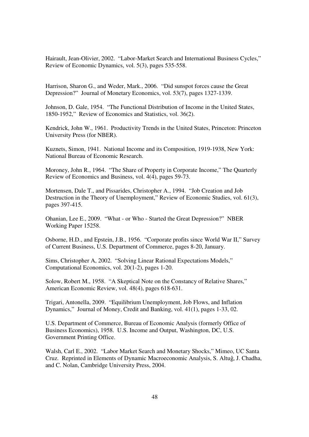Hairault, Jean-Olivier, 2002. "Labor-Market Search and International Business Cycles," Review of Economic Dynamics, vol. 5(3), pages 535-558.

Harrison, Sharon G., and Weder, Mark., 2006. "Did sunspot forces cause the Great Depression?" Journal of Monetary Economics, vol. 53(7), pages 1327-1339.

Johnson, D. Gale, 1954. "The Functional Distribution of Income in the United States, 1850-1952," Review of Economics and Statistics, vol. 36(2).

Kendrick, John W., 1961. Productivity Trends in the United States, Princeton: Princeton University Press (for NBER).

Kuznets, Simon, 1941. National Income and its Composition, 1919-1938, New York: National Bureau of Economic Research.

Moroney, John R., 1964. "The Share of Property in Corporate Income," The Quarterly Review of Economics and Business, vol. 4(4), pages 59-73.

Mortensen, Dale T., and Pissarides, Christopher A., 1994. "Job Creation and Job Destruction in the Theory of Unemployment," Review of Economic Studies, vol. 61(3), pages 397-415.

Ohanian, Lee E., 2009. "What - or Who - Started the Great Depression?" NBER Working Paper 15258.

Osborne, H.D., and Epstein, J.B., 1956. "Corporate profits since World War II," Survey of Current Business, U.S. Department of Commerce, pages 8-20, January.

Sims, Christopher A, 2002. "Solving Linear Rational Expectations Models," Computational Economics, vol. 20(1-2), pages 1-20.

Solow, Robert M., 1958. "A Skeptical Note on the Constancy of Relative Shares," American Economic Review, vol. 48(4), pages 618-631.

Trigari, Antonella, 2009. "Equilibrium Unemployment, Job Flows, and Inflation Dynamics," Journal of Money, Credit and Banking, vol. 41(1), pages 1-33, 02.

U.S. Department of Commerce, Bureau of Economic Analysis (formerly Office of Business Economics), 1958. U.S. Income and Output, Washington, DC, U.S. Government Printing Office.

Walsh, Carl E., 2002. "Labor Market Search and Monetary Shocks," Mimeo, UC Santa Cruz. Reprinted in Elements of Dynamic Macroeconomic Analysis, S. Altuĝ, J. Chadha, and C. Nolan, Cambridge University Press, 2004.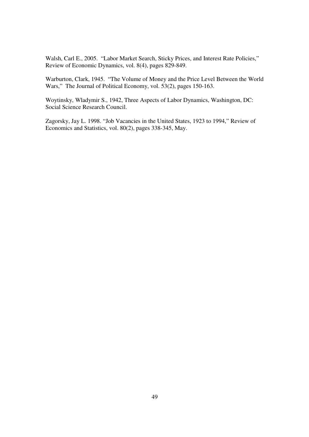Walsh, Carl E., 2005. "Labor Market Search, Sticky Prices, and Interest Rate Policies," Review of Economic Dynamics, vol. 8(4), pages 829-849.

Warburton, Clark, 1945. "The Volume of Money and the Price Level Between the World Wars," The Journal of Political Economy, vol. 53(2), pages 150-163.

Woytinsky, Wladymir S., 1942, Three Aspects of Labor Dynamics, Washington, DC: Social Science Research Council.

Zagorsky, Jay L. 1998. "Job Vacancies in the United States, 1923 to 1994," Review of Economics and Statistics, vol. 80(2), pages 338-345, May.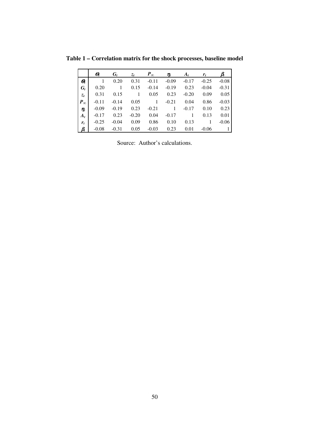|                                  | Θ,      | $G_{t}$ | $z_t$   | $P_{\infty}$ | $\pmb{\eta}_t$ | $A_t$   | $r_{t}$ |         |
|----------------------------------|---------|---------|---------|--------------|----------------|---------|---------|---------|
| $\boldsymbol{\varTheta}_{\!\!t}$ |         | 0.20    | 0.31    | $-0.11$      | $-0.09$        | $-0.17$ | $-0.25$ | $-0.08$ |
| $G_{t}$                          | 0.20    |         | 0.15    | $-0.14$      | $-0.19$        | 0.23    | $-0.04$ | $-0.31$ |
| $z_t$                            | 0.31    | 0.15    | 1       | 0.05         | 0.23           | $-0.20$ | 0.09    | 0.05    |
| $P_{\infty}$                     | $-0.11$ | $-0.14$ | 0.05    | 1            | $-0.21$        | 0.04    | 0.86    | $-0.03$ |
| $\eta_t$                         | $-0.09$ | $-0.19$ | 0.23    | $-0.21$      |                | $-0.17$ | 0.10    | 0.23    |
| $A_t$                            | $-0.17$ | 0.23    | $-0.20$ | 0.04         | $-0.17$        |         | 0.13    | 0.01    |
| $r_{t}$                          | $-0.25$ | $-0.04$ | 0.09    | 0.86         | 0.10           | 0.13    |         | $-0.06$ |
|                                  | $-0.08$ | $-0.31$ | 0.05    | $-0.03$      | 0.23           | 0.01    | $-0.06$ |         |

**Table 1 – Correlation matrix for the shock processes, baseline model** 

Source: Author's calculations.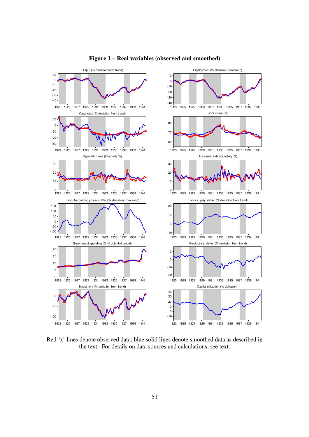

#### **Figure 1 – Real variables (observed and smoothed)**

Red 'x' lines denote observed data; blue solid lines denote smoothed data as described in the text. For details on data sources and calculations, see text.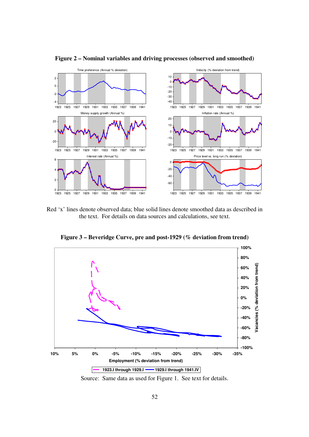

**Figure 2 – Nominal variables and driving processes (observed and smoothed)** 

Red 'x' lines denote observed data; blue solid lines denote smoothed data as described in the text. For details on data sources and calculations, see text.

**Figure 3 – Beveridge Curve, pre and post-1929 (% deviation from trend)** 



Source: Same data as used for Figure 1. See text for details.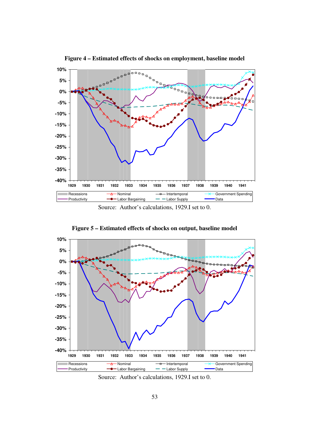

**Figure 4 – Estimated effects of shocks on employment, baseline model** 

Source: Author's calculations, 1929.I set to 0.





Source: Author's calculations, 1929.I set to 0.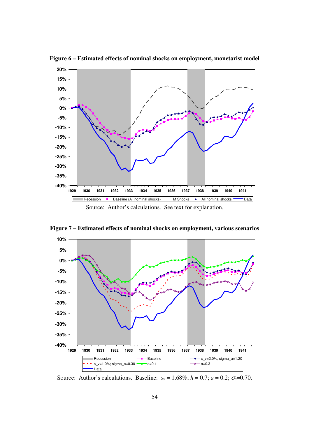

**Figure 6 – Estimated effects of nominal shocks on employment, monetarist model** 

**Figure 7 – Estimated effects of nominal shocks on employment, various scenarios** 



Source: Author's calculations. Baseline:  $s_v = 1.68\%$ ;  $h = 0.7$ ;  $a = 0.2$ ;  $\sigma_a = 0.70$ .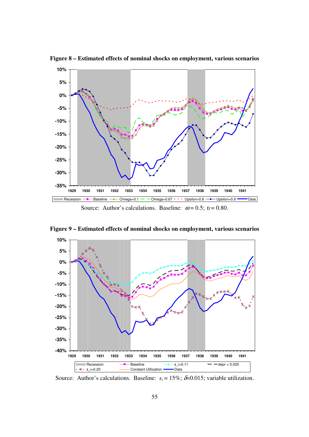

**Figure 8 – Estimated effects of nominal shocks on employment, various scenarios** 

**Figure 9 – Estimated effects of nominal shocks on employment, various scenarios** 



Source: Author's calculations. Baseline:  $s_i = 15\%$ ;  $\delta = 0.015$ ; variable utilization.